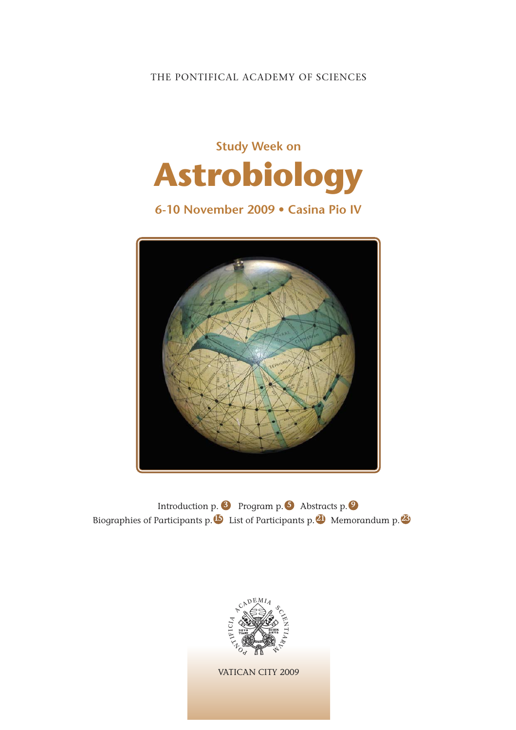# THE PONTIFICAL ACADEMY OF SCIENCES



# **6-10 November 2009 • Casina Pio IV**



Introduction p. <sup>3</sup> Program p. <sup>5</sup> Abstracts p. <sup>9</sup> Biographies of Participants p. List of Participants p. Memorandum p. **15 14 21 23**

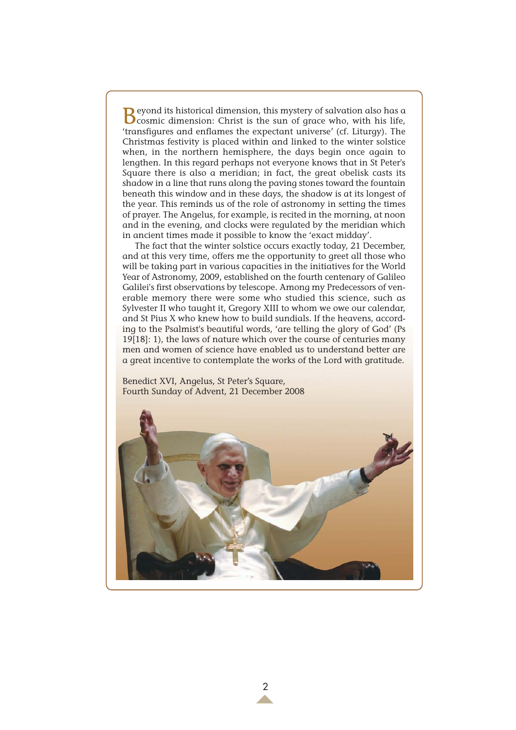**B**eyond its historical dimension, this mystery of salvation also has a cosmic dimension: Christ is the sun of grace who, with his life, 'transfigures and enflames the expectant universe' (cf. Liturgy). The Christmas festivity is placed within and linked to the winter solstice when, in the northern hemisphere, the days begin once again to lengthen. In this regard perhaps not everyone knows that in St Peter's Square there is also a meridian; in fact, the great obelisk casts its shadow in a line that runs along the paving stones toward the fountain beneath this window and in these days, the shadow is at its longest of the year. This reminds us of the role of astronomy in setting the times of prayer. The Angelus, for example, is recited in the morning, at noon and in the evening, and clocks were regulated by the meridian which in ancient times made it possible to know the 'exact midday'.

The fact that the winter solstice occurs exactly today, 21 December, and at this very time, offers me the opportunity to greet all those who will be taking part in various capacities in the initiatives for the World Year of Astronomy, 2009, established on the fourth centenary of Galileo Galilei's first observations by telescope. Among my Predecessors of venerable memory there were some who studied this science, such as Sylvester II who taught it, Gregory XIII to whom we owe our calendar, and St Pius X who knew how to build sundials. If the heavens, according to the Psalmist's beautiful words, 'are telling the glory of God' (Ps 19[18]: 1), the laws of nature which over the course of centuries many men and women of science have enabled us to understand better are a great incentive to contemplate the works of the Lord with gratitude.

Benedict XVI, Angelus, St Peter's Square, Fourth Sunday of Advent, 21 December 2008

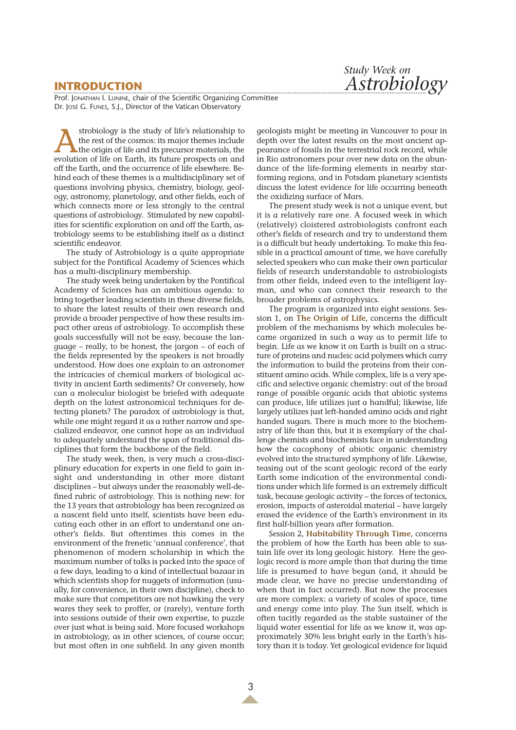# **INTRODUCTION**

*Study Week on Astrobiology*

Prof. JONATHAN I. LUNINE, chair of the Scientific Organizing Committee Dr. JOSÉ G. FUNES, S.J., Director of the Vatican Observatory

strobiology is the study of life's relationship to<br>the rest of the cosmos: its major themes include<br>the origin of life and its precursor materials, the<br>evolution of life on Farth its future prospects on and the rest of the cosmos: its major themes include evolution of life on Earth, its future prospects on and off the Earth, and the occurrence of life elsewhere. Behind each of these themes is a multidisciplinary set of questions involving physics, chemistry, biology, geology, astronomy, planetology, and other fields, each of which connects more or less strongly to the central questions of astrobiology. Stimulated by new capabilities for scientific exploration on and off the Earth, astrobiology seems to be establishing itself as a distinct scientific endeavor.

The study of Astrobiology is a quite appropriate subject for the Pontifical Academy of Sciences which has a multi-disciplinary membership.

The study week being undertaken by the Pontifical Academy of Sciences has an ambitious agenda: to bring together leading scientists in these diverse fields, to share the latest results of their own research and provide a broader perspective of how these results impact other areas of astrobiology. To accomplish these goals successfully will not be easy, because the language – really, to be honest, the jargon – of each of the fields represented by the speakers is not broadly understood. How does one explain to an astronomer the intricacies of chemical markers of biological activity in ancient Earth sediments? Or conversely, how can a molecular biologist be briefed with adequate depth on the latest astronomical techniques for detecting planets? The paradox of astrobiology is that, while one might regard it as a rather narrow and specialized endeavor, one cannot hope as an individual to adequately understand the span of traditional disciplines that form the backbone of the field.

The study week, then, is very much a cross-disciplinary education for experts in one field to gain insight and understanding in other more distant disciplines – but always under the reasonably well-defined rubric of astrobiology. This is nothing new: for the 13 years that astrobiology has been recognized as a nascent field unto itself, scientists have been educating each other in an effort to understand one another's fields. But oftentimes this comes in the environment of the frenetic 'annual conference', that phenomenon of modern scholarship in which the maximum number of talks is packed into the space of a few days, leading to a kind of intellectual bazaar in which scientists shop for nuggets of information (usually, for convenience, in their own discipline), check to make sure that competitors are not hawking the very wares they seek to proffer, or (rarely), venture forth into sessions outside of their own expertise, to puzzle over just what is being said. More focused workshops in astrobiology, as in other sciences, of course occur; but most often in one subfield. In any given month

geologists might be meeting in Vancouver to pour in depth over the latest results on the most ancient appearance of fossils in the terrestrial rock record, while in Rio astronomers pour over new data on the abundance of the life-forming elements in nearby starforming regions, and in Potsdam planetary scientists discuss the latest evidence for life occurring beneath the oxidizing surface of Mars.

The present study week is not a unique event, but it is a relatively rare one. A focused week in which (relatively) cloistered astrobiologists confront each other's fields of research and try to understand them is a difficult but heady undertaking. To make this feasible in a practical amount of time, we have carefully selected speakers who can make their own particular fields of research understandable to astrobiologists from other fields, indeed even to the intelligent layman, and who can connect their research to the broader problems of astrophysics.

The program is organized into eight sessions. Session 1, on **The Origin of Life**, concerns the difficult problem of the mechanisms by which molecules became organized in such a way as to permit life to begin. Life as we know it on Earth is built on a structure of proteins and nucleic acid polymers which carry the information to build the proteins from their constituent amino acids. While complex, life is a very specific and selective organic chemistry: out of the broad range of possible organic acids that abiotic systems can produce, life utilizes just a handful; likewise, life largely utilizes just left-handed amino acids and right handed sugars. There is much more to the biochemistry of life than this, but it is exemplary of the challenge chemists and biochemists face in understanding how the cacophony of abiotic organic chemistry evolved into the structured symphony of life. Likewise, teasing out of the scant geologic record of the early Earth some indication of the environmental conditions under which life formed is an extremely difficult task, because geologic activity – the forces of tectonics, erosion, impacts of asteroidal material – have largely erased the evidence of the Earth's environment in its first half-billion years after formation.

Session 2, **Habitability Through Time**, concerns the problem of how the Earth has been able to sustain life over its long geologic history. Here the geologic record is more ample than that during the time life is presumed to have begun (and, it should be made clear, we have no precise understanding of when that in fact occurred). But now the processes are more complex: a variety of scales of space, time and energy come into play. The Sun itself, which is often tacitly regarded as the stable sustainer of the liquid water essential for life as we know it, was approximately 30% less bright early in the Earth's history than it is today. Yet geological evidence for liquid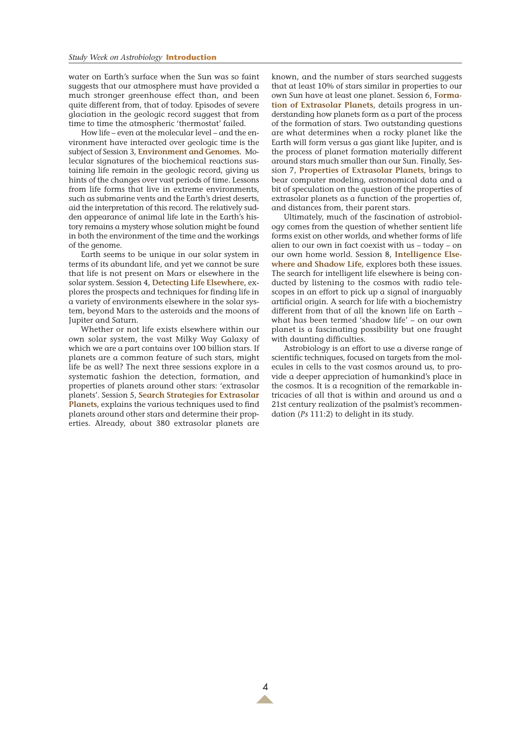water on Earth's surface when the Sun was so faint suggests that our atmosphere must have provided a much stronger greenhouse effect than, and been quite different from, that of today. Episodes of severe glaciation in the geologic record suggest that from time to time the atmospheric 'thermostat' failed.

How life – even at the molecular level – and the environment have interacted over geologic time is the subject of Session 3, **Environment and Genomes**. Molecular signatures of the biochemical reactions sustaining life remain in the geologic record, giving us hints of the changes over vast periods of time. Lessons from life forms that live in extreme environments, such as submarine vents and the Earth's driest deserts, aid the interpretation of this record. The relatively sudden appearance of animal life late in the Earth's history remains a mystery whose solution might be found in both the environment of the time and the workings of the genome.

Earth seems to be unique in our solar system in terms of its abundant life, and yet we cannot be sure that life is not present on Mars or elsewhere in the solar system. Session 4, **Detecting Life Elsewhere**, explores the prospects and techniques for finding life in a variety of environments elsewhere in the solar system, beyond Mars to the asteroids and the moons of Jupiter and Saturn.

Whether or not life exists elsewhere within our own solar system, the vast Milky Way Galaxy of which we are a part contains over 100 billion stars. If planets are a common feature of such stars, might life be as well? The next three sessions explore in a systematic fashion the detection, formation, and properties of planets around other stars: 'extrasolar planets'. Session 5, **Search Strategies for Extrasolar Planets**, explains the various techniques used to find planets around other stars and determine their properties. Already, about 380 extrasolar planets are

known, and the number of stars searched suggests that at least 10% of stars similar in properties to our own Sun have at least one planet. Session 6, **Formation of Extrasolar Planets**, details progress in understanding how planets form as a part of the process of the formation of stars. Two outstanding questions are what determines when a rocky planet like the Earth will form versus a gas giant like Jupiter, and is the process of planet formation materially different around stars much smaller than our Sun. Finally, Session 7, **Properties of Extrasolar Planets**, brings to bear computer modeling, astronomical data and a bit of speculation on the question of the properties of extrasolar planets as a function of the properties of, and distances from, their parent stars.

Ultimately, much of the fascination of astrobiology comes from the question of whether sentient life forms exist on other worlds, and whether forms of life alien to our own in fact coexist with us – today – on our own home world. Session 8, **Intelligence Elsewhere and Shadow Life**, explores both these issues. The search for intelligent life elsewhere is being conducted by listening to the cosmos with radio telescopes in an effort to pick up a signal of inarguably artificial origin. A search for life with a biochemistry different from that of all the known life on Earth – what has been termed 'shadow life' – on our own planet is a fascinating possibility but one fraught with daunting difficulties.

Astrobiology is an effort to use a diverse range of scientific techniques, focused on targets from the molecules in cells to the vast cosmos around us, to provide a deeper appreciation of humankind's place in the cosmos. It is a recognition of the remarkable intricacies of all that is within and around us and a 21st century realization of the psalmist's recommendation (*Ps* 111:2) to delight in its study.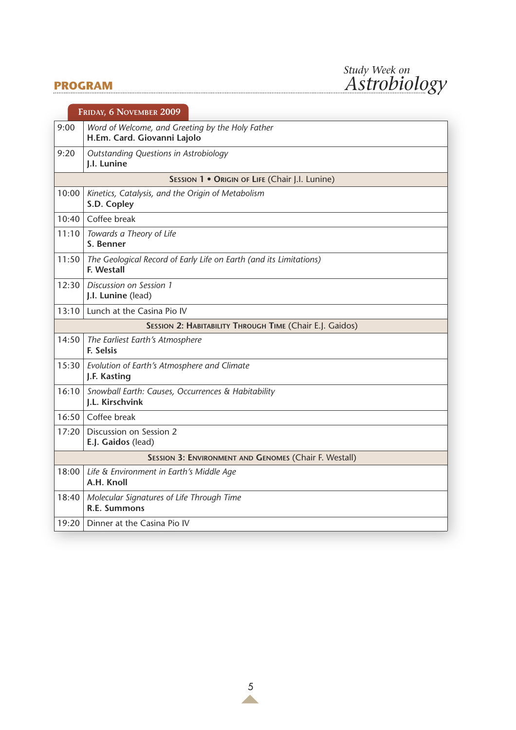# **PROGRAM**



|                                                          | FRIDAY, 6 NOVEMBER 2009                                                          |  |  |  |  |
|----------------------------------------------------------|----------------------------------------------------------------------------------|--|--|--|--|
| 9:00                                                     | Word of Welcome, and Greeting by the Holy Father<br>H.Em. Card. Giovanni Lajolo  |  |  |  |  |
| 9:20                                                     | <b>Outstanding Questions in Astrobiology</b><br>J.I. Lunine                      |  |  |  |  |
|                                                          | SESSION 1 . ORIGIN OF LIFE (Chair J.I. Lunine)                                   |  |  |  |  |
| 10:00                                                    | Kinetics, Catalysis, and the Origin of Metabolism<br>S.D. Copley                 |  |  |  |  |
| 10:40                                                    | Coffee break                                                                     |  |  |  |  |
| 11:10                                                    | Towards a Theory of Life<br>S. Benner                                            |  |  |  |  |
| 11:50                                                    | The Geological Record of Early Life on Earth (and its Limitations)<br>F. Westall |  |  |  |  |
| 12:30                                                    | Discussion on Session 1<br>J.I. Lunine (lead)                                    |  |  |  |  |
| 13:10                                                    | Lunch at the Casina Pio IV                                                       |  |  |  |  |
| SESSION 2: HABITABILITY THROUGH TIME (Chair E.J. Gaidos) |                                                                                  |  |  |  |  |
| 14:50                                                    | The Earliest Earth's Atmosphere<br><b>F. Selsis</b>                              |  |  |  |  |
| 15:30                                                    | Evolution of Earth's Atmosphere and Climate<br>J.F. Kasting                      |  |  |  |  |
| 16:10                                                    | Snowball Earth: Causes, Occurrences & Habitability<br>I.L. Kirschvink            |  |  |  |  |
|                                                          | 16:50 Coffee break                                                               |  |  |  |  |
| 17:20                                                    | Discussion on Session 2<br>E.J. Gaidos (lead)                                    |  |  |  |  |
|                                                          | SESSION 3: ENVIRONMENT AND GENOMES (Chair F. Westall)                            |  |  |  |  |
| 18:00                                                    | Life & Environment in Earth's Middle Age<br>A.H. Knoll                           |  |  |  |  |
| 18:40                                                    | Molecular Signatures of Life Through Time<br><b>R.E. Summons</b>                 |  |  |  |  |
| 19:20                                                    | Dinner at the Casina Pio IV                                                      |  |  |  |  |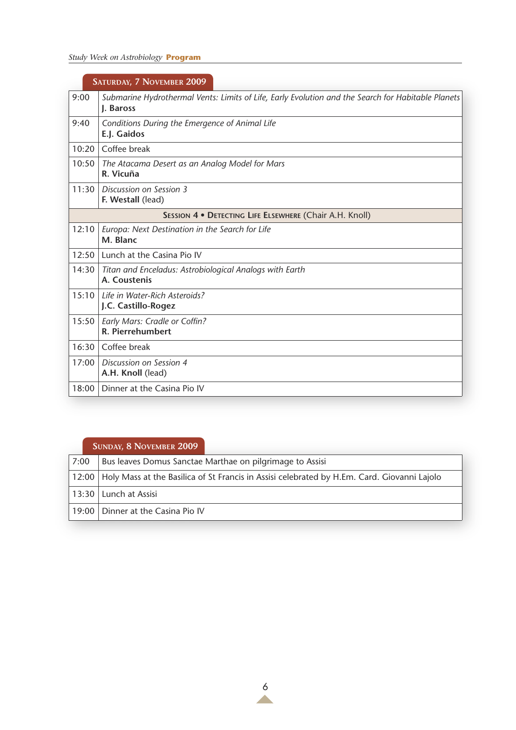# *Study Week on Astrobiology* **Program**

|       | SATURDAY, 7 NOVEMBER 2009                                                                                       |  |  |
|-------|-----------------------------------------------------------------------------------------------------------------|--|--|
| 9:00  | Submarine Hydrothermal Vents: Limits of Life, Early Evolution and the Search for Habitable Planets<br>J. Baross |  |  |
| 9:40  | Conditions During the Emergence of Animal Life<br>E.J. Gaidos                                                   |  |  |
| 10:20 | Coffee break                                                                                                    |  |  |
| 10:50 | The Atacama Desert as an Analog Model for Mars<br>R. Vicuña                                                     |  |  |
| 11:30 | Discussion on Session 3<br>F. Westall (lead)                                                                    |  |  |
|       | SESSION 4 · DETECTING LIFE ELSEWHERE (Chair A.H. Knoll)                                                         |  |  |
| 12:10 | Europa: Next Destination in the Search for Life<br>M. Blanc                                                     |  |  |
| 12:50 | Lunch at the Casina Pio IV                                                                                      |  |  |
| 14:30 | Titan and Enceladus: Astrobiological Analogs with Earth<br>A. Coustenis                                         |  |  |
| 15:10 | <b>Life in Water-Rich Asteroids?</b><br>J.C. Castillo-Rogez                                                     |  |  |
| 15:50 | Early Mars: Cradle or Coffin?<br>R. Pierrehumbert                                                               |  |  |
| 16:30 | Coffee break                                                                                                    |  |  |
| 17:00 | Discussion on Session 4<br>A.H. Knoll (lead)                                                                    |  |  |
| 18:00 | Dinner at the Casina Pio IV                                                                                     |  |  |

# **SUNDAY, 8 NOVEMBER 2009**

| 7:00 |                                     | Bus leaves Domus Sanctae Marthae on pilgrimage to Assisi                                          |
|------|-------------------------------------|---------------------------------------------------------------------------------------------------|
|      |                                     | 12:00 Holy Mass at the Basilica of St Francis in Assisi celebrated by H.Em. Card. Giovanni Lajolo |
|      |                                     |                                                                                                   |
|      | 13:30 Lunch at Assisi               |                                                                                                   |
|      | 19:00   Dinner at the Casina Pio IV |                                                                                                   |
|      |                                     |                                                                                                   |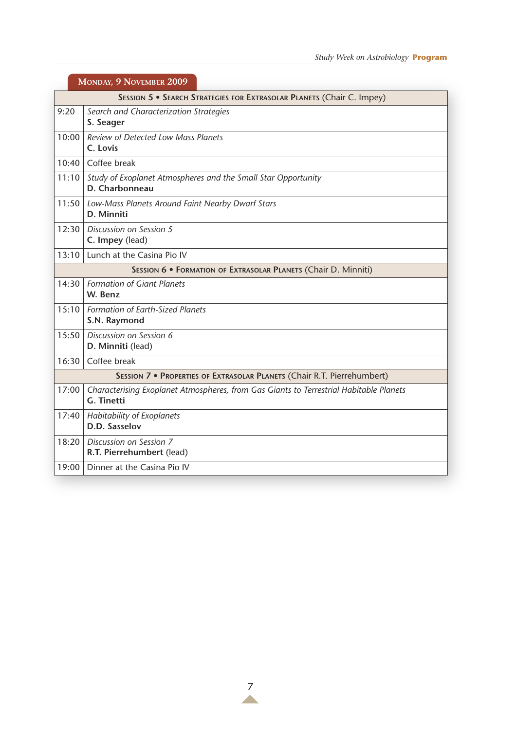| MONDAY, 9 NOVEMBER 2009                                               |                                                                                                             |  |  |
|-----------------------------------------------------------------------|-------------------------------------------------------------------------------------------------------------|--|--|
| SESSION 5 . SEARCH STRATEGIES FOR EXTRASOLAR PLANETS (Chair C. Impey) |                                                                                                             |  |  |
| 9:20                                                                  | Search and Characterization Strategies<br>S. Seager                                                         |  |  |
| 10:00                                                                 | <b>Review of Detected Low Mass Planets</b><br>C. Lovis                                                      |  |  |
| 10:40                                                                 | Coffee break                                                                                                |  |  |
| 11:10                                                                 | Study of Exoplanet Atmospheres and the Small Star Opportunity<br>D. Charbonneau                             |  |  |
| 11:50                                                                 | Low-Mass Planets Around Faint Nearby Dwarf Stars<br>D. Minniti                                              |  |  |
| 12:30                                                                 | Discussion on Session 5<br>C. Impey (lead)                                                                  |  |  |
|                                                                       | 13:10 Lunch at the Casina Pio IV                                                                            |  |  |
|                                                                       | SESSION 6 · FORMATION OF EXTRASOLAR PLANETS (Chair D. Minniti)                                              |  |  |
| 14:30                                                                 | <b>Formation of Giant Planets</b><br>W. Benz                                                                |  |  |
| 15:10                                                                 | Formation of Earth-Sized Planets<br>S.N. Raymond                                                            |  |  |
| 15:50                                                                 | Discussion on Session 6<br>D. Minniti (lead)                                                                |  |  |
| 16:30                                                                 | Coffee break                                                                                                |  |  |
|                                                                       | SESSION 7 · PROPERTIES OF EXTRASOLAR PLANETS (Chair R.T. Pierrehumbert)                                     |  |  |
| 17:00                                                                 | Characterising Exoplanet Atmospheres, from Gas Giants to Terrestrial Habitable Planets<br><b>G.</b> Tinetti |  |  |
| 17:40                                                                 | Habitability of Exoplanets<br>D.D. Sasselov                                                                 |  |  |
| 18:20                                                                 | Discussion on Session 7<br>R.T. Pierrehumbert (lead)                                                        |  |  |
| 19:00                                                                 | Dinner at the Casina Pio IV                                                                                 |  |  |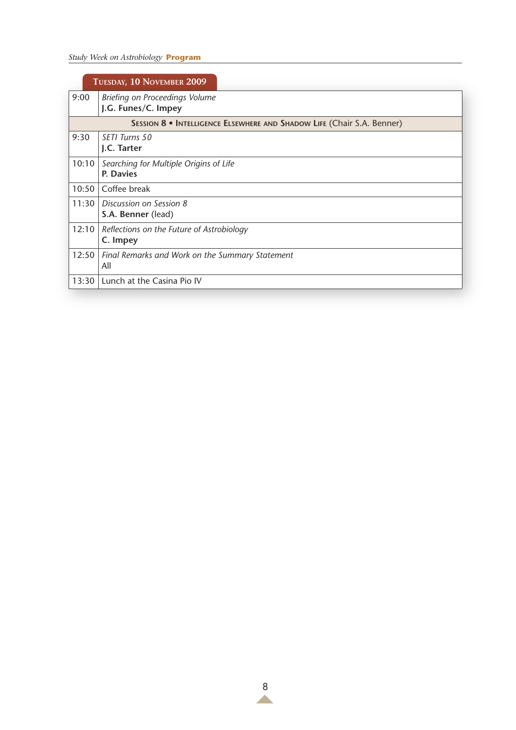# *Study Week on Astrobiology* **Program**

| TUESDAY, 10 NOVEMBER 2009                                              |                                                        |  |
|------------------------------------------------------------------------|--------------------------------------------------------|--|
| 9:00                                                                   | Briefing on Proceedings Volume<br>J.G. Funes/C. Impey  |  |
| SESSION 8 • INTELLIGENCE ELSEWHERE AND SHADOW LIFE (Chair S.A. Benner) |                                                        |  |
| 9:30                                                                   | SFTI Turns 50<br>J.C. Tarter                           |  |
| 10:10                                                                  | Searching for Multiple Origins of Life<br>P. Davies    |  |
| 10:50                                                                  | Coffee break                                           |  |
| 11:30                                                                  | Discussion on Session 8<br>S.A. Benner (lead)          |  |
| 12:10                                                                  | Reflections on the Future of Astrobiology<br>C. Impey  |  |
| 12:50                                                                  | Final Remarks and Work on the Summary Statement<br>All |  |
| 13:30                                                                  | Lunch at the Casina Pio IV                             |  |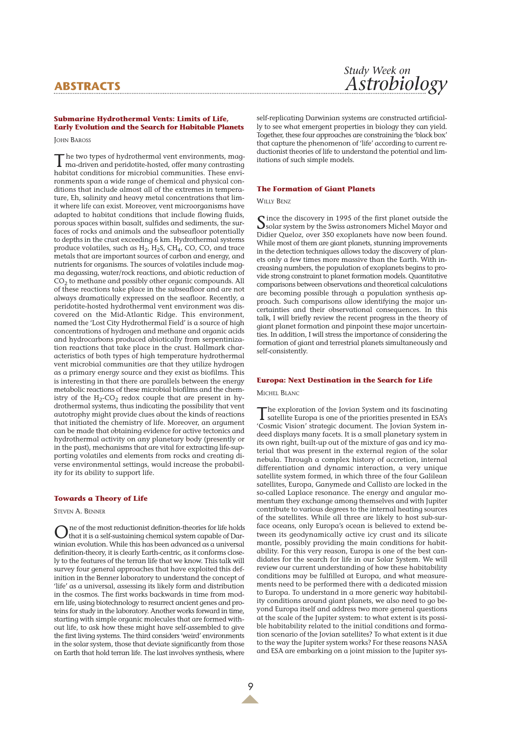# **ABSTRACTS**

## **Submarine Hydrothermal Vents: Limits of Life, Early Evolution and the Search for Habitable Planets**

**JOHN BAROSS** 

The two types of hydrothermal vent environments, mag-<br>ma-driven and peridotite-hosted, offer many contrasting<br>with the many contrasting habitat conditions for microbial communities. These environments span a wide range of chemical and physical conditions that include almost all of the extremes in temperature, Eh, salinity and heavy metal concentrations that limit where life can exist. Moreover, vent microorganisms have adapted to habitat conditions that include flowing fluids, porous spaces within basalt, sulfides and sediments, the surfaces of rocks and animals and the subseafloor potentially to depths in the crust exceeding 6 km. Hydrothermal systems produce volatiles, such as  $H_2$ ,  $H_2S$ ,  $CH_4$ , CO, CO, and trace metals that are important sources of carbon and energy, and nutrients for organisms. The sources of volatiles include magma degassing, water/rock reactions, and abiotic reduction of  $CO<sub>2</sub>$  to methane and possibly other organic compounds. All of these reactions take place in the subseafloor and are not always dramatically expressed on the seafloor. Recently, a peridotite-hosted hydrothermal vent environment was discovered on the Mid-Atlantic Ridge. This environment, named the 'Lost City Hydrothermal Field' is a source of high concentrations of hydrogen and methane and organic acids and hydrocarbons produced abiotically from serpentinization reactions that take place in the crust. Hallmark characteristics of both types of high temperature hydrothermal vent microbial communities are that they utilize hydrogen as a primary energy source and they exist as biofilms. This is interesting in that there are parallels between the energy metabolic reactions of these microbial biofilms and the chemistry of the  $H_2$ -CO<sub>2</sub> redox couple that are present in hydrothermal systems, thus indicating the possibility that vent autotrophy might provide clues about the kinds of reactions that initiated the chemistry of life. Moreover, an argument can be made that obtaining evidence for active tectonics and hydrothermal activity on any planetary body (presently or in the past), mechanisms that are vital for extracting life-supporting volatiles and elements from rocks and creating diverse environmental settings, would increase the probability for its ability to support life.

### **Towards a Theory of Life**

STEVEN A. BENNER

One of the most reductionist definition-theories for life holds that it is a self-sustaining chemical system capable of Darwinian evolution. While this has been advanced as a universal definition-theory, it is clearly Earth-centric, as it conforms closely to the features of the terran life that we know. This talk will survey four general approaches that have exploited this definition in the Benner laboratory to understand the concept of 'life' as a universal, assessing its likely form and distribution in the cosmos. The first works backwards in time from modern life, using biotechnology to resurrect ancient genes and proteins for study in the laboratory. Another works forward in time, starting with simple organic molecules that are formed without life, to ask how these might have self-assembled to give the first living systems. The third considers 'weird' environments in the solar system, those that deviate significantly from those on Earth that hold terran life. The last involves synthesis, where

self-replicating Darwinian systems are constructed artificially to see what emergent properties in biology they can yield. Together, these four approaches are constraining the 'black box' that capture the phenomenon of 'life' according to current reductionist theories of life to understand the potential and limitations of such simple models.

#### **The Formation of Giant Planets**

### WILLY BENZ

Since the discovery in 1995 of the first planet outside the<br>Solar system by the Swiss astronomers Michel Mayor and Didier Queloz, over 350 exoplanets have now been found. While most of them are giant planets, stunning improvements in the detection techniques allows today the discovery of planets only a few times more massive than the Earth. With increasing numbers, the population of exoplanets begins to provide strong constraint to planet formation models. Quantitative comparisons between observations and theoretical calculations are becoming possible through a population synthesis approach. Such comparisons allow identifying the major uncertainties and their observational consequences. In this talk, I will briefly review the recent progress in the theory of giant planet formation and pinpoint these major uncertainties. In addition, I will stress the importance of considering the formation of giant and terrestrial planets simultaneously and self-consistently.

#### **Europa: Next Destination in the Search for Life**

MICHEL BLANC

The exploration of the Jovian System and its fascinating<br>satellite Europa is one of the priorities presented in ESA's<br>satellite Europa is one of the priorities presented in ESA's 'Cosmic Vision' strategic document. The Jovian System indeed displays many facets. It is a small planetary system in its own right, built-up out of the mixture of gas and icy material that was present in the external region of the solar nebula. Through a complex history of accretion, internal differentiation and dynamic interaction, a very unique satellite system formed, in which three of the four Galilean satellites, Europa, Ganymede and Callisto are locked in the so-called Laplace resonance. The energy and angular momentum they exchange among themselves and with Jupiter contribute to various degrees to the internal heating sources of the satellites. While all three are likely to host sub-surface oceans, only Europa's ocean is believed to extend between its geodynamically active icy crust and its silicate mantle, possibly providing the main conditions for habitability. For this very reason, Europa is one of the best candidates for the search for life in our Solar System. We will review our current understanding of how these habitability conditions may be fulfilled at Europa, and what measurements need to be performed there with a dedicated mission to Europa. To understand in a more generic way habitability conditions around giant planets, we also need to go beyond Europa itself and address two more general questions at the scale of the Jupiter system: to what extent is its possible habitability related to the initial conditions and formation scenario of the Jovian satellites? To what extent is it due to the way the Jupiter system works? For these reasons NASA and ESA are embarking on a joint mission to the Jupiter sys-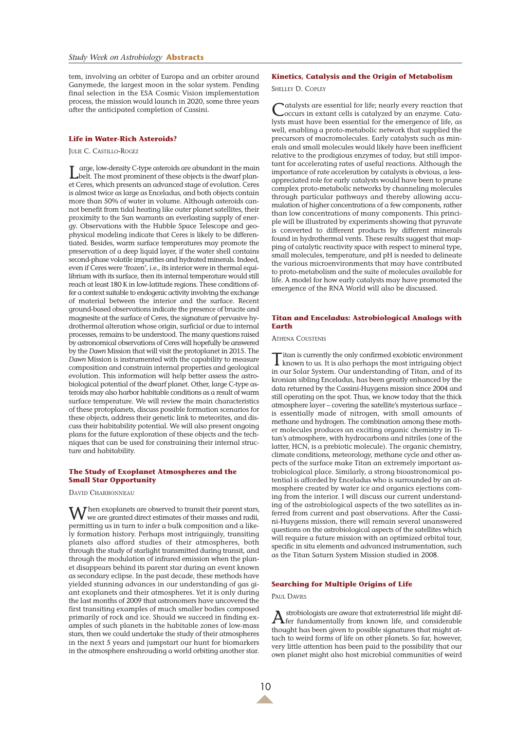tem, involving an orbiter of Europa and an orbiter around Ganymede, the largest moon in the solar system. Pending final selection in the ESA Cosmic Vision implementation process, the mission would launch in 2020, some three years after the anticipated completion of Cassini.

## **Life in Water-Rich Asteroids?**

JULIE C. CASTILLO-ROGEZ

Large, low-density C-type asteroids are abundant in the main belt. The most prominent of these objects is the dwarf planet Ceres, which presents an advanced stage of evolution. Ceres is almost twice as large as Enceladus, and both objects contain more than 50% of water in volume. Although asteroids cannot benefit from tidal heating like outer planet satellites, their proximity to the Sun warrants an everlasting supply of energy. Observations with the Hubble Space Telescope and geophysical modeling indicate that Ceres is likely to be differentiated. Besides, warm surface temperatures may promote the preservation of a deep liquid layer, if the water shell contains second-phase volatile impurities and hydrated minerals. Indeed, even if Ceres were 'frozen', i.e., its interior were in thermal equilibrium with its surface, then its internal temperature would still reach at least 180 K in low-latitude regions. These conditions offer a context suitable to endogenic activity involving the exchange of material between the interior and the surface. Recent ground-based observations indicate the presence of brucite and magnesite at the surface of Ceres, the signature of pervasive hydrothermal alteration whose origin, surficial or due to internal processes, remains to be understood. The many questions raised by astronomical observations of Ceres will hopefully be answered by the *Dawn* Mission that will visit the protoplanet in 2015. The *Dawn* Mission is instrumented with the capability to measure composition and constrain internal properties and geological evolution. This information will help better assess the astrobiological potential of the dwarf planet. Other, large C-type asteroids may also harbor habitable conditions as a result of warm surface temperature. We will review the main characteristics of these protoplanets, discuss possible formation scenarios for these objects, address their genetic link to meteorites, and discuss their habitability potential. We will also present ongoing plans for the future exploration of these objects and the techniques that can be used for constraining their internal structure and habitability.

## **The Study of Exoplanet Atmospheres and the Small Star Opportunity**

DAVID CHARBONNEAU

When exoplanets are observed to transit their parent stars,<br>we are granted direct estimates of their masses and radii, permitting us in turn to infer a bulk composition and a likely formation history. Perhaps most intriguingly, transiting planets also afford studies of their atmospheres, both through the study of starlight transmitted during transit, and through the modulation of infrared emission when the planet disappears behind its parent star during an event known as secondary eclipse. In the past decade, these methods have yielded stunning advances in our understanding of gas giant exoplanets and their atmospheres. Yet it is only during the last months of 2009 that astronomers have uncovered the first transiting examples of much smaller bodies composed primarily of rock and ice. Should we succeed in finding examples of such planets in the habitable zones of low-mass stars, then we could undertake the study of their atmospheres in the next 5 years and jumpstart our hunt for biomarkers in the atmosphere enshrouding a world orbiting another star.

## **Kinetics, Catalysis and the Origin of Metabolism**

SHELLEY D. COPLEY

Catalysts are essential for life; nearly every reaction that occurs in extant cells is catalyzed by an enzyme. Catalysts must have been essential for the emergence of life, as well, enabling a proto-metabolic network that supplied the precursors of macromolecules. Early catalysts such as minerals and small molecules would likely have been inefficient relative to the prodigious enzymes of today, but still important for accelerating rates of useful reactions. Although the importance of rate acceleration by catalysts is obvious, a lessappreciated role for early catalysts would have been to prune complex proto-metabolic networks by channeling molecules through particular pathways and thereby allowing accumulation of higher concentrations of a few components, rather than low concentrations of many components. This principle will be illustrated by experiments showing that pyruvate is converted to different products by different minerals found in hydrothermal vents. These results suggest that mapping of catalytic reactivity space with respect to mineral type, small molecules, temperature, and pH is needed to delineate the various microenvironments that may have contributed to proto-metabolism and the suite of molecules available for life. A model for how early catalysts may have promoted the emergence of the RNA World will also be discussed.

## **Titan and Enceladus: Astrobiological Analogs with Earth**

ATHENA COUSTENIS

Titan is currently the only confirmed exobiotic environment known to us. It is also perhaps the most intriguing object in our Solar System. Our understanding of Titan, and of its kronian sibling Enceladus, has been greatly enhanced by the data returned by the Cassini-Huygens mission since 2004 and still operating on the spot. Thus, we know today that the thick atmosphere layer – covering the satellite's mysterious surface – is essentially made of nitrogen, with small amounts of methane and hydrogen. The combination among these mother molecules produces an exciting organic chemistry in Titan's atmosphere, with hydrocarbons and nitriles (one of the latter, HCN, is a prebiotic molecule). The organic chemistry, climate conditions, meteorology, methane cycle and other aspects of the surface make Titan an extremely important astrobiological place. Similarly, a strong bioastronomical potential is afforded by Enceladus who is surrounded by an atmosphere created by water ice and organics ejections coming from the interior. I will discuss our current understanding of the astrobiological aspects of the two satellites as inferred from current and past observations. After the Cassini-Huygens mission, there will remain several unanswered questions on the astrobiological aspects of the satellites which will require a future mission with an optimized orbital tour, specific in situ elements and advanced instrumentation, such as the Titan Saturn System Mission studied in 2008.

## **Searching for Multiple Origins of Life**

## PAUL DAVIES

Astrobiologists are aware that extraterrestrial life might dif-fer fundamentally from known life, and considerable thought has been given to possible signatures that might attach to weird forms of life on other planets. So far, however, very little attention has been paid to the possibility that our own planet might also host microbial communities of weird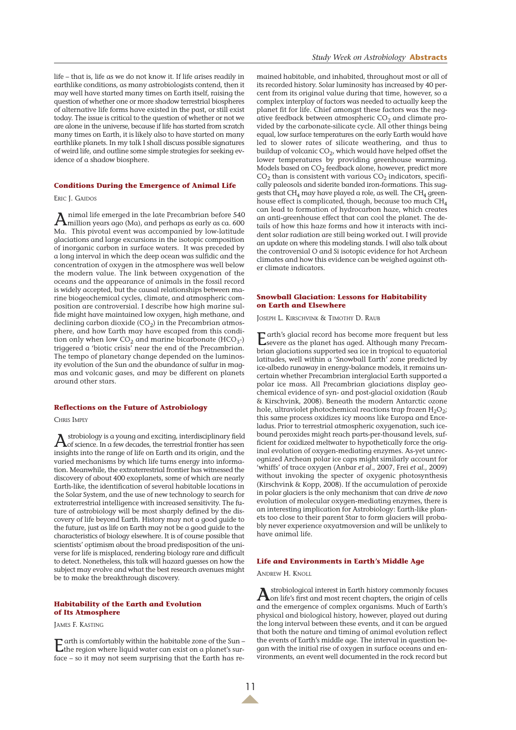life – that is, life as we do not know it. If life arises readily in earthlike conditions, as many astrobiologists contend, then it may well have started many times on Earth itself, raising the question of whether one or more shadow terrestrial biospheres of alternative life forms have existed in the past, or still exist today. The issue is critical to the question of whether or not we are alone in the universe, because if life has started from scratch many times on Earth, it is likely also to have started on many earthlike planets. In my talk I shall discuss possible signatures of weird life, and outline some simple strategies for seeking evidence of a shadow biosphere.

#### **Conditions During the Emergence of Animal Life**

ERIC J. GAIDOS

Animal life emerged in the late Precambrian before 540 million years ago (Ma), and perhaps as early as ca. 600 Ma. This pivotal event was accompanied by low-latitude glaciations and large excursions in the isotopic composition of inorganic carbon in surface waters. It was preceded by a long interval in which the deep ocean was sulfidic and the concentration of oxygen in the atmosphere was well below the modern value. The link between oxygenation of the oceans and the appearance of animals in the fossil record is widely accepted, but the causal relationships between marine biogeochemical cycles, climate, and atmospheric composition are controversial. I describe how high marine sulfide might have maintained low oxygen, high methane, and declining carbon dioxide  $(CO<sub>2</sub>)$  in the Precambrian atmosphere, and how Earth may have escaped from this condition only when low  $CO<sub>2</sub>$  and marine bicarbonate (HCO<sub>3</sub>-) triggered a 'biotic crisis' near the end of the Precambrian. The tempo of planetary change depended on the luminosity evolution of the Sun and the abundance of sulfur in magmas and volcanic gases, and may be different on planets around other stars.

#### **Reflections on the Future of Astrobiology**

CHRIS IMPEY

 $A$ strobiology is a young and exciting, interdisciplinary field<br>of science. In a few decades, the terrestrial frontier has seen insights into the range of life on Earth and its origin, and the varied mechanisms by which life turns energy into information. Meanwhile, the extraterrestrial frontier has witnessed the discovery of about 400 exoplanets, some of which are nearly Earth-like, the identification of several habitable locations in the Solar System, and the use of new technology to search for extraterrestrial intelligence with increased sensitivity. The future of astrobiology will be most sharply defined by the discovery of life beyond Earth. History may not a good guide to the future, just as life on Earth may not be a good guide to the characteristics of biology elsewhere. It is of course possible that scientists' optimism about the broad predisposition of the universe for life is misplaced, rendering biology rare and difficult to detect. Nonetheless, this talk will hazard guesses on how the subject may evolve and what the best research avenues might be to make the breakthrough discovery.

## **Habitability of the Earth and Evolution of Its Atmosphere**

JAMES F. KASTING

Earth is comfortably within the habitable zone of the Sun – the region where liquid water can exist on a planet's surface – so it may not seem surprising that the Earth has remained habitable, and inhabited, throughout most or all of its recorded history. Solar luminosity has increased by 40 percent from its original value during that time, however, so a complex interplay of factors was needed to actually keep the planet fit for life. Chief amongst these factors was the negative feedback between atmospheric  $CO<sub>2</sub>$  and climate provided by the carbonate-silicate cycle. All other things being equal, low surface temperatures on the early Earth would have led to slower rates of silicate weathering, and thus to buildup of volcanic CO<sub>2</sub>, which would have helped offset the lower temperatures by providing greenhouse warming. Models based on CO<sub>2</sub> feedback alone, however, predict more  $CO<sub>2</sub>$  than is consistent with various  $CO<sub>2</sub>$  indicators, specifically paleosols and siderite banded iron-formations. This suggests that  $CH_4$  may have played a role, as well. The  $CH_4$  greenhouse effect is complicated, though, because too much CH4 can lead to formation of hydrocarbon haze, which creates an anti-greenhouse effect that can cool the planet. The details of how this haze forms and how it interacts with incident solar radiation are still being worked out. I will provide an update on where this modeling stands. I will also talk about the controversial O and Si isotopic evidence for hot Archean climates and how this evidence can be weighed against other climate indicators.

#### **Snowball Glaciation: Lessons for Habitability on Earth and Elsewhere**

JOSEPH L. KIRSCHVINK & TIMOTHY D. RAUB

Earth's glacial record has become more frequent but less severe as the planet has aged. Although many Precambrian glaciations supported sea ice in tropical to equatorial latitudes, well within a 'Snowball Earth' zone predicted by ice-albedo runaway in energy-balance models, it remains uncertain whether Precambrian interglacial Earth supported a polar ice mass. All Precambrian glaciations display geochemical evidence of syn- and post-glacial oxidation (Raub & Kirschvink, 2008). Beneath the modern Antarctic ozone hole, ultraviolet photochemical reactions trap frozen  $H_2O_2$ ; this same process oxidizes icy moons like Europa and Enceladus. Prior to terrestrial atmospheric oxygenation, such icebound peroxides might reach parts-per-thousand levels, sufficient for oxidized meltwater to hypothetically force the original evolution of oxygen-mediating enzymes. As-yet unrecognized Archean polar ice caps might similarly account for 'whiffs' of trace oxygen (Anbar *et al*., 2007, Frei *et al.*, 2009) without invoking the specter of oxygenic photosynthesis (Kirschvink & Kopp, 2008). If the accumulation of peroxide in polar glaciers is the only mechanism that can drive *de novo* evolution of molecular oxygen-mediating enzymes, there is an interesting implication for Astrobiology: Earth-like planets too close to their parent Star to form glaciers will probably never experience oxyatmoversion and will be unlikely to have animal life.

#### **Life and Environments in Earth's Middle Age**

ANDREW H. KNOLL

**A**strobiological interest in Earth history commonly focuses<br>on life's first and most recent chapters, the origin of cells and the emergence of complex organisms. Much of Earth's physical and biological history, however, played out during the long interval between these events, and it can be argued that both the nature and timing of animal evolution reflect the events of Earth's middle age. The interval in question began with the initial rise of oxygen in surface oceans and environments, an event well documented in the rock record but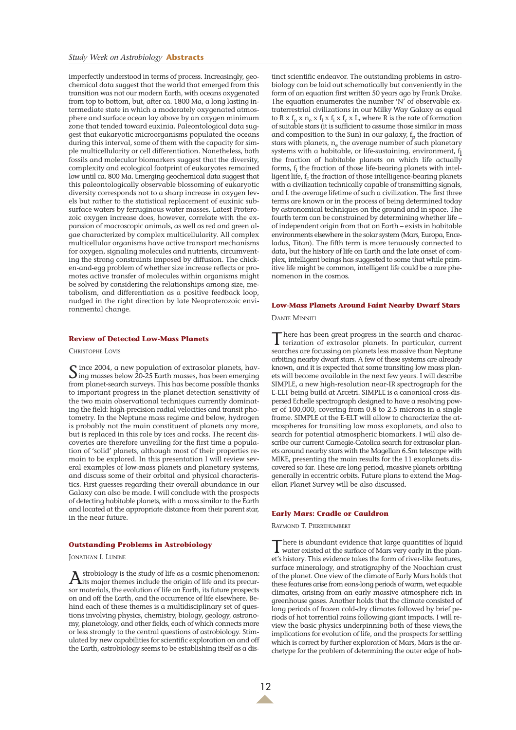imperfectly understood in terms of process. Increasingly, geochemical data suggest that the world that emerged from this transition was not our modern Earth, with oceans oxygenated from top to bottom, but, after ca. 1800 Ma, a long lasting intermediate state in which a moderately oxygenated atmosphere and surface ocean lay above by an oxygen minimum zone that tended toward euxinia. Paleontological data suggest that eukaryotic microorganisms populated the oceans during this interval, some of them with the capacity for simple multicellularity or cell differentiation. Nonetheless, both fossils and molecular biomarkers suggest that the diversity, complexity and ecological footprint of eukaryotes remained low until ca. 800 Ma. Emerging geochemical data suggest that this paleontologically observable blossoming of eukaryotic diversity corresponds not to a sharp increase in oxygen levels but rather to the statistical replacement of euxinic subsurface waters by ferruginous water masses. Latest Proterozoic oxygen increase does, however, correlate with the expansion of macroscopic animals, as well as red and green algae characterized by complex multicellularity. All complex multicellular organisms have active transport mechanisms for oxygen, signaling molecules and nutrients, circumventing the strong constraints imposed by diffusion. The chicken-and-egg problem of whether size increase reflects or promotes active transfer of molecules within organisms might be solved by considering the relationships among size, metabolism, and differentiation as a positive feedback loop, nudged in the right direction by late Neoproterozoic environmental change.

**Review of Detected Low-Mass Planets**

CHRISTOPHE LOVIS

Since 2004, a new population of extrasolar planets, hav-ing masses below 20-25 Earth masses, has been emerging from planet-search surveys. This has become possible thanks to important progress in the planet detection sensitivity of the two main observational techniques currently dominating the field: high-precision radial velocities and transit photometry. In the Neptune mass regime and below, hydrogen is probably not the main constituent of planets any more, but is replaced in this role by ices and rocks. The recent discoveries are therefore unveiling for the first time a population of 'solid' planets, although most of their properties remain to be explored. In this presentation I will review several examples of low-mass planets and planetary systems, and discuss some of their orbital and physical characteristics. First guesses regarding their overall abundance in our Galaxy can also be made. I will conclude with the prospects of detecting habitable planets, with a mass similar to the Earth and located at the appropriate distance from their parent star, in the near future.

## **Outstanding Problems in Astrobiology**

JONATHAN I. LUNINE

 $A$ its major themes include the origin of life and its precur-<br>its major themes include the origin of life and its precursor materials, the evolution of life on Earth, its future prospects on and off the Earth, and the occurrence of life elsewhere. Behind each of these themes is a multidisciplinary set of questions involving physics, chemistry, biology, geology, astronomy, planetology, and other fields, each of which connects more or less strongly to the central questions of astrobiology. Stimulated by new capabilities for scientific exploration on and off the Earth, astrobiology seems to be establishing itself as a dis-

tinct scientific endeavor. The outstanding problems in astrobiology can be laid out schematically but conveniently in the form of an equation first written 50 years ago by Frank Drake. The equation enumerates the number 'N' of observable extraterrestrial civilizations in our Milky Way Galaxy as equal to R x  $f_p$  x  $n_e$  x  $f_l$  x  $f_i$  x  $f_c$  x L, where R is the rate of formation of suitable stars (it is sufficient to assume those similar in mass and composition to the Sun) in our galaxy,  $f_p$  the fraction of stars with planets,  $n_e$  the average number of such planetary systems with a habitable, or life-sustaining, environment, f the fraction of habitable planets on which life actually forms, f<sub>i</sub> the fraction of those life-bearing planets with intelligent life,  $f_c$  the fraction of those intelligence-bearing planets with a civilization technically capable of transmitting signals, and L the average lifetime of such a civilization. The first three terms are known or in the process of being determined today by astronomical techniques on the ground and in space. The fourth term can be constrained by determining whether life – of independent origin from that on Earth – exists in habitable environments elsewhere in the solar system (Mars, Europa, Enceladus, Titan). The fifth term is more tenuously connected to data, but the history of life on Earth and the late onset of complex, intelligent beings has suggested to some that while primitive life might be common, intelligent life could be a rare phenomenon in the cosmos.

#### **Low-Mass Planets Around Faint Nearby Dwarf Stars**

DANTE MINNITI

There has been great progress in the search and charac-terization of extrasolar planets. In particular, current searches are focussing on planets less massive than Neptune orbiting nearby dwarf stars. A few of these systems are already known, and it is expected that some transiting low mass planets will become available in the next few years. I will describe SIMPLE, a new high-resolution near-IR spectrograph for the E-ELT being build at Arcetri. SIMPLE is a canonical cross-dispersed Echelle spectrograph designed to have a resolving power of 100,000, covering from 0.8 to 2.5 microns in a single frame. SIMPLE at the E-ELT will allow to characterize the atmospheres for transiting low mass exoplanets, and also to search for potential atmospheric biomarkers. I will also describe our current Carnegie-Catolica search for extrasolar planets around nearby stars with the Magellan 6.5m telescope with MIKE, presenting the main results for the 11 exoplanets discovered so far. These are long period, massive planets orbiting generally in eccentric orbits. Future plans to extend the Magellan Planet Survey will be also discussed.

#### **Early Mars: Cradle or Cauldron**

RAYMOND T. PIERREHUMBERT

There is abundant evidence that large quantities of liquid water existed at the surface of Mars very early in the planet's history. This evidence takes the form of river-like features, surface mineralogy, and stratigraphy of the Noachian crust of the planet. One view of the climate of Early Mars holds that these features arise from eons-long periods of warm, wet equable climates, arising from an early massive atmosphere rich in greenhouse gases. Another holds that the climate consisted of long periods of frozen cold-dry climates followed by brief periods of hot torrential rains following giant impacts. I will review the basic physics underpinning both of these views,the implications for evolution of life, and the prospects for settling which is correct by further exploration of Mars, Mars is the archetype for the problem of determining the outer edge of hab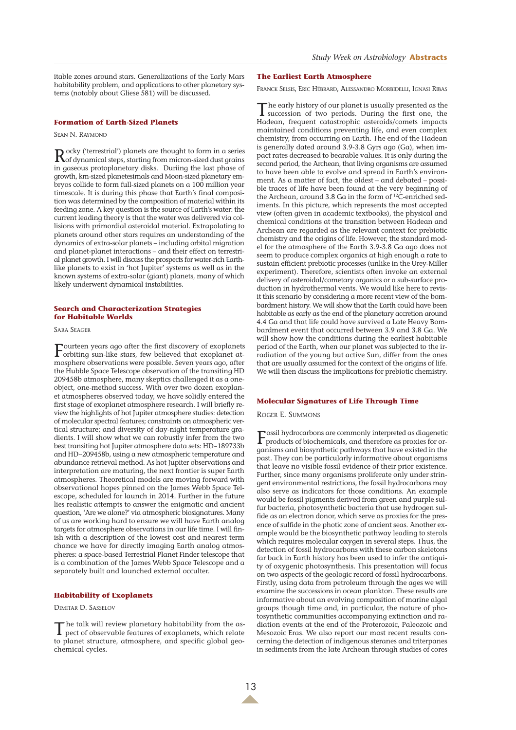itable zones around stars. Generalizations of the Early Mars habitability problem, and applications to other planetary systems (notably about Gliese 581) will be discussed.

## **Formation of Earth-Sized Planets**

SEAN N. RAYMOND

Rocky ('terrestrial') planets are thought to form in a series of dynamical steps, starting from micron-sized dust grains in gaseous protoplanetary disks. Duriing the last phase of growth, km-sized planetesimals and Moon-sized planetary embryos collide to form full-sized planets on a 100 million year timescale. It is during this phase that Earth's final composition was determined by the composition of material within its feeding zone. A key question is the source of Earth's water: the current leading theory is that the water was delivered via collisions with primordial asteroidal material. Extrapolating to planets around other stars requires an understanding of the dynamics of extra-solar planets – including orbital migration and planet-planet interactions – and their effect on terrestrial planet growth. I will discuss the prospects for water-rich Earthlike planets to exist in 'hot Jupiter' systems as well as in the known systems of extra-solar (giant) planets, many of which likely underwent dynamical instabilities.

#### **Search and Characterization Strategies for Habitable Worlds**

SARA SEAGER

Fourteen years ago after the first discovery of exoplanets<br>orbiting sun-like stars, few believed that exoplanet atmosphere observations were possible. Seven years ago, after the Hubble Space Telescope observation of the transiting HD 209458b atmosphere, many skeptics challenged it as a oneobject, one-method success. With over two dozen exoplanet atmospheres observed today, we have solidly entered the first stage of exoplanet atmosphere research. I will briefly review the highlights of hot Jupiter atmosphere studies: detection of molecular spectral features; constraints on atmospheric vertical structure; and diversity of day-night temperature gradients. I will show what we can robustly infer from the two best transiting hot Jupiter atmosphere data sets: HD~189733b and HD~209458b, using a new atmospheric temperature and abundance retrieval method. As hot Jupiter observations and interpretation are maturing, the next frontier is super Earth atmospheres. Theoretical models are moving forward with observational hopes pinned on the James Webb Space Telescope, scheduled for launch in 2014. Further in the future lies realistic attempts to answer the enigmatic and ancient question, 'Are we alone?' via atmospheric biosignatures. Many of us are working hard to ensure we will have Earth analog targets for atmosphere observations in our life time. I will finish with a description of the lowest cost and nearest term chance we have for directly imaging Earth analog atmospheres: a space-based Terrestrial Planet Finder telescope that is a combination of the James Webb Space Telescope and a separately built and launched external occulter.

#### **Habitability of Exoplanets**

DIMITAR D. SASSELOV

T he talk will review planetary habitability from the as-pect of observable features of exoplanets, which relate to planet structure, atmosphere, and specific global geochemical cycles.

#### **The Earliest Earth Atmosphere**

FRANCK SELSIS, ERIC HÉBRARD, ALESSANDRO MORBIDELLI, IGNASI RIBAS

The early history of our planet is usually presented as the succession of two periods. During the first one, the Hadean, frequent catastrophic asteroids/comets impacts maintained conditions preventing life, and even complex chemistry, from occurring on Earth. The end of the Hadean is generally dated around 3.9-3.8 Gyrs ago (Ga), when impact rates decreased to bearable values. It is only during the second period, the Archean, that living organisms are assumed to have been able to evolve and spread in Earth's environment. As a matter of fact, the oldest – and debated – possible traces of life have been found at the very beginning of the Archean, around 3.8 Ga in the form of <sup>12</sup>C-enriched sediments. In this picture, which represents the most accepted view (often given in academic textbooks), the physical and chemical conditions at the transition between Hadean and Archean are regarded as the relevant context for prebiotic chemistry and the origins of life. However, the standard model for the atmosphere of the Earth 3.9-3.8 Ga ago does not seem to produce complex organics at high enough a rate to sustain efficient prebiotic processes (unlike in the Urey-Miller experiment). Therefore, scientists often invoke an external delivery of asteroidal/cometary organics or a sub-surface production in hydrothermal vents. We would like here to revisit this scenario by considering a more recent view of the bombardment history. We will show that the Earth could have been habitable as early as the end of the planetary accretion around 4.4 Ga and that life could have survived a Late Heavy Bombardment event that occurred between 3.9 and 3.8 Ga. We will show how the conditions during the earliest habitable period of the Earth, when our planet was subjected to the irradiation of the young but active Sun, differ from the ones that are usually assumed for the context of the origins of life. We will then discuss the implications for prebiotic chemistry.

#### **Molecular Signatures of Life Through Time**

ROGER E. SUMMONS

Fossil hydrocarbons are commonly interpreted as diagenetic products of biochemicals, and therefore as proxies for organisms and biosynthetic pathways that have existed in the past. They can be particularly informative about organisms that leave no visible fossil evidence of their prior existence. Further, since many organisms proliferate only under stringent environmental restrictions, the fossil hydrocarbons may also serve as indicators for those conditions. An example would be fossil pigments derived from green and purple sulfur bacteria, photosynthetic bacteria that use hydrogen sulfide as an electron donor, which serve as proxies for the presence of sulfide in the photic zone of ancient seas. Another example would be the biosynthetic pathway leading to sterols which requires molecular oxygen in several steps. Thus, the detection of fossil hydrocarbons with these carbon skeletons far back in Earth history has been used to infer the antiquity of oxygenic photosynthesis. This presentation will focus on two aspects of the geologic record of fossil hydrocarbons. Firstly, using data from petroleum through the ages we will examine the successions in ocean plankton. These results are informative about an evolving composition of marine algal groups though time and, in particular, the nature of photosynthetic communities accompanying extinction and radiation events at the end of the Proterozoic, Paleozoic and Mesozoic Eras. We also report our most recent results concerning the detection of indigenous steranes and triterpanes in sediments from the late Archean through studies of cores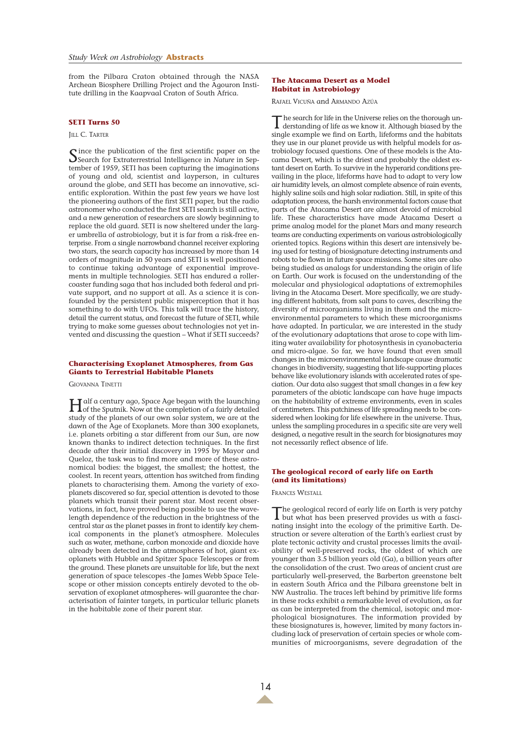from the Pilbara Craton obtained through the NASA Archean Biosphere Drilling Project and the Agouron Institute drilling in the Kaapvaal Craton of South Africa.

### **SETI Turns 50**

#### JILL C. TARTER

Since the publication of the first scientific paper on the<br>Search for Extraterrestrial Intelligence in *Nature* in September of 1959, SETI has been capturing the imaginations of young and old, scientist and layperson, in cultures around the globe, and SETI has become an innovative, scientific exploration. Within the past few years we have lost the pioneering authors of the first SETI paper, but the radio astronomer who conducted the first SETI search is still active, and a new generation of researchers are slowly beginning to replace the old guard. SETI is now sheltered under the larger umbrella of astrobiology, but it is far from a risk-free enterprise. From a single narrowband channel receiver exploring two stars, the search capacity has increased by more than 14 orders of magnitude in 50 years and SETI is well positioned to continue taking advantage of exponential improvements in multiple technologies. SETI has endured a rollercoaster funding saga that has included both federal and private support, and no support at all. As a science it is confounded by the persistent public misperception that it has something to do with UFOs. This talk will trace the history, detail the current status, and forecast the future of SETI, while trying to make some guesses about technologies not yet invented and discussing the question – What if SETI succeeds?

### **Characterising Exoplanet Atmospheres, from Gas Giants to Terrestrial Habitable Planets**

GIOVANNA TINETTI

Half a century ago, Space Age began with the launching of the Sputnik. Now at the completion of a fairly detailed study of the planets of our own solar system, we are at the dawn of the Age of Exoplanets. More than 300 exoplanets, i.e. planets orbiting a star different from our Sun, are now known thanks to indirect detection techniques. In the first decade after their initial discovery in 1995 by Mayor and Queloz, the task was to find more and more of these astronomical bodies: the biggest, the smallest; the hottest, the coolest. In recent years, attention has switched from finding planets to characterising them. Among the variety of exoplanets discovered so far, special attention is devoted to those planets which transit their parent star. Most recent observations, in fact, have proved being possible to use the wavelength dependence of the reduction in the brightness of the central star as the planet passes in front to identify key chemical components in the planet's atmosphere. Molecules such as water, methane, carbon monoxide and dioxide have already been detected in the atmospheres of hot, giant exoplanets with Hubble and Spitzer Space Telescopes or from the ground. These planets are unsuitable for life, but the next generation of space telescopes -the James Webb Space Telescope or other mission concepts entirely devoted to the observation of exoplanet atmospheres- will guarantee the characterisation of fainter targets, in particular telluric planets in the habitable zone of their parent star.

### **The Atacama Desert as a Model Habitat in Astrobiology**

RAFAEL VICUÑA and ARMANDO AZÚA

The search for life in the Universe relies on the thorough un-derstanding of life as we know it. Although biased by the single example we find on Earth, lifeforms and the habitats they use in our planet provide us with helpful models for astrobiology focused questions. One of these models is the Atacama Desert, which is the driest and probably the oldest extant desert on Earth. To survive in the hyperarid conditions prevailing in the place, lifeforms have had to adapt to very low air humidity levels, an almost complete absence of rain events, highly saline soils and high solar radiation. Still, in spite of this adaptation process, the harsh environmental factors cause that parts of the Atacama Desert are almost devoid of microbial life. These characteristics have made Atacama Desert a prime analog model for the planet Mars and many research teams are conducting experiments on various astrobiologically oriented topics. Regions within this desert are intensively being used for testing of biosignature detecting instruments and robots to be flown in future space missions. Some sites are also being studied as analogs for understanding the origin of life on Earth. Our work is focused on the understanding of the molecular and physiological adaptations of extremophiles living in the Atacama Desert. More specifically, we are studying different habitats, from salt pans to caves, describing the diversity of microorganisms living in them and the microenvironmental parameters to which these microorganisms have adapted. In particular, we are interested in the study of the evolutionary adaptations that arose to cope with limiting water availability for photosynthesis in cyanobacteria and micro-algae. So far, we have found that even small changes in the microenvironmental landscape cause dramatic changes in biodiversity, suggesting that life-supporting places behave like evolutionary islands with accelerated rates of speciation. Our data also suggest that small changes in a few key parameters of the abiotic landscape can have huge impacts on the habitability of extreme environments, even in scales of centimeters. This patchiness of life spreading needs to be considered when looking for life elsewhere in the universe. Thus, unless the sampling procedures in a specific site are very well designed, a negative result in the search for biosignatures may not necessarily reflect absence of life.

## **The geological record of early life on Earth (and its limitations)**

FRANCES WESTALL

The geological record of early life on Earth is very patchy but what has been preserved provides us with a fascinating insight into the ecology of the primitive Earth. Destruction or severe alteration of the Earth's earliest crust by plate tectonic activity and crustal processes limits the availability of well-preserved rocks, the oldest of which are younger than 3.5 billion years old (Ga), a billion years after the consolidation of the crust. Two areas of ancient crust are particularly well-preserved, the Barberton greenstone belt in eastern South Africa and the Pilbara greenstone belt in NW Australia. The traces left behind by primitive life forms in these rocks exhibit a remarkable level of evolution, as far as can be interpreted from the chemical, isotopic and morphological biosignatures. The information provided by these biosignatures is, however, limited by many factors including lack of preservation of certain species or whole communities of microorganisms, severe degradation of the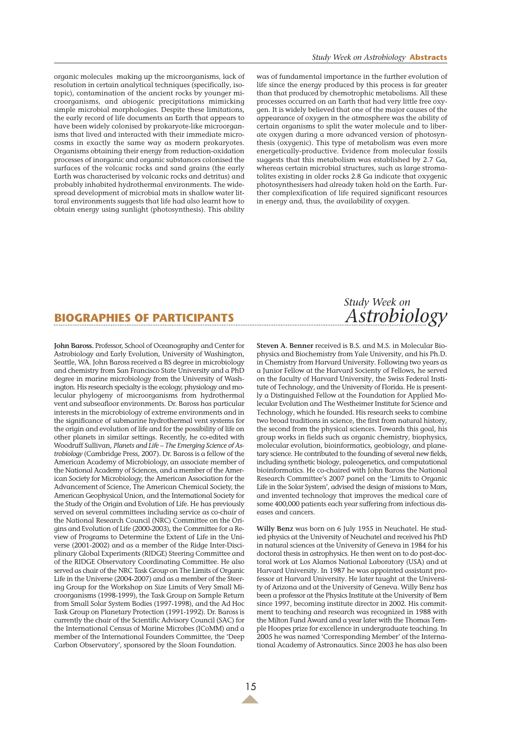organic molecules making up the microorganisms, lack of resolution in certain analytical techniques (specifically, isotopic), contamination of the ancient rocks by younger microorganisms, and abiogenic precipitations mimicking simple microbial morphologies. Despite these limitations, the early record of life documents an Earth that appears to have been widely colonised by prokaryote-like microorganisms that lived and interacted with their immediate microcosms in exactly the same way as modern prokaryotes. Organisms obtaining their energy from reduction-oxidation processes of inorganic and organic substances colonised the surfaces of the volcanic rocks and sand grains (the early Earth was characterised by volcanic rocks and detritus) and probably inhabited hydrothermal environments. The widespread development of microbial mats in shallow water littoral environments suggests that life had also learnt how to obtain energy using sunlight (photosynthesis). This ability

was of fundamental importance in the further evolution of life since the energy produced by this process is far greater than that produced by chemotrophic metabolisms. All these processes occurred on an Earth that had very little free oxygen. It is widely believed that one of the major causes of the appearance of oxygen in the atmosphere was the ability of certain organisms to split the water molecule and to liberate oxygen during a more advanced version of photosynthesis (oxygenic). This type of metabolism was even more energetically-productive. Evidence from molecular fossils suggests that this metabolism was established by 2.7 Ga, whereas certain microbial structures, such as large stromatolites existing in older rocks 2.8 Ga indicate that oxygenic photosynthesisers had already taken hold on the Earth. Further complexification of life required significant resources in energy and, thus, the availability of oxygen.

# **BIOGRAPHIES OF PARTICIPANTS**

**John Baross.** Professor, School of Oceanography and Center for Astrobiology and Early Evolution, University of Washington, Seattle, WA. John Baross received a BS degree in microbiology and chemistry from San Francisco State University and a PhD degree in marine microbiology from the University of Washington. His research specialty is the ecology, physiology and molecular phylogeny of microorganisms from hydrothermal vent and subseafloor environments. Dr. Baross has particular interests in the microbiology of extreme environments and in the significance of submarine hydrothermal vent systems for the origin and evolution of life and for the possibility of life on other planets in similar settings. Recently, he co-edited with Woodruff Sullivan, *Planets and Life – The Emerging Science of Astrobiology* (Cambridge Press, 2007). Dr. Baross is a fellow of the American Academy of Microbiology, an associate member of the National Academy of Sciences, and a member of the American Society for Microbiology, the American Association for the Advancement of Science, The American Chemical Society, the American Geophysical Union, and the International Society for the Study of the Origin and Evolution of Life. He has previously served on several committees including service as co-chair of the National Research Council (NRC) Committee on the Origins and Evolution of Life (2000-2003), the Committee for a Review of Programs to Determine the Extent of Life in the Universe (2001-2002) and as a member of the Ridge Inter-Disciplinary Global Experiments (RIDGE) Steering Committee and of the RIDGE Observatory Coordinating Committee. He also served as chair of the NRC Task Group on The Limits of Organic Life in the Universe (2004-2007) and as a member of the Steering Group for the Workshop on Size Limits of Very Small Microorganisms (1998-1999), the Task Group on Sample Return from Small Solar System Bodies (1997-1998), and the Ad Hoc Task Group on Planetary Protection (1991-1992). Dr. Baross is currently the chair of the Scientific Advisory Council (SAC) for the International Census of Marine Microbes (ICoMM) and a member of the International Founders Committee, the 'Deep Carbon Observatory', sponsored by the Sloan Foundation.

# *Study Week on Astrobiology*

**Steven A. Benner** received is B.S. and M.S. in Molecular Biophysics and Biochemistry from Yale University, and his Ph.D. in Chemistry from Harvard University. Following two years as a Junior Fellow at the Harvard Socienty of Fellows, he served on the faculty of Harvard University, the Swiss Federal Institute of Technology, and the University of Florida. He is presently a Distinguished Fellow at the Foundation for Applied Molecular Evolution and The Westheimer Institute for Science and Technology, which he founded. His research seeks to combine two broad traditions in science, the first from natural history, the second from the physical sciences. Towards this goal, his group works in fields such as organic chemistry, biophysics, molecular evolution, bioinformatics, geobiology, and planetary science. He contributed to the founding of several new fields, including synthetic biology, paleogenetics, and computational bioinformatics. He co-chaired with John Baross the National Research Committee's 2007 panel on the 'Limits to Organic Life in the Solar System', advised the design of missions to Mars, and invented technology that improves the medical care of some 400,000 patients each year suffering from infectious diseases and cancers.

**Willy Benz** was born on 6 July 1955 in Neuchatel. He studied physics at the University of Neuchatel and received his PhD in natural sciences at the University of Geneva in 1984 for his doctoral thesis in astrophysics. He then went on to do post-doctoral work at Los Alamos National Laboratory (USA) and at Harvard University. In 1987 he was appointed assistant professor at Harvard University. He later taught at the University of Arizona and at the University of Geneva. Willy Benz has been a professor at the Physics Institute at the University of Bern since 1997, becoming institute director in 2002. His commitment to teaching and research was recognized in 1988 with the Milton Fund Award and a year later with the Thomas Temple Hoopes prize for excellence in undergraduate teaching. In 2005 he was named 'Corresponding Member' of the International Academy of Astronautics. Since 2003 he has also been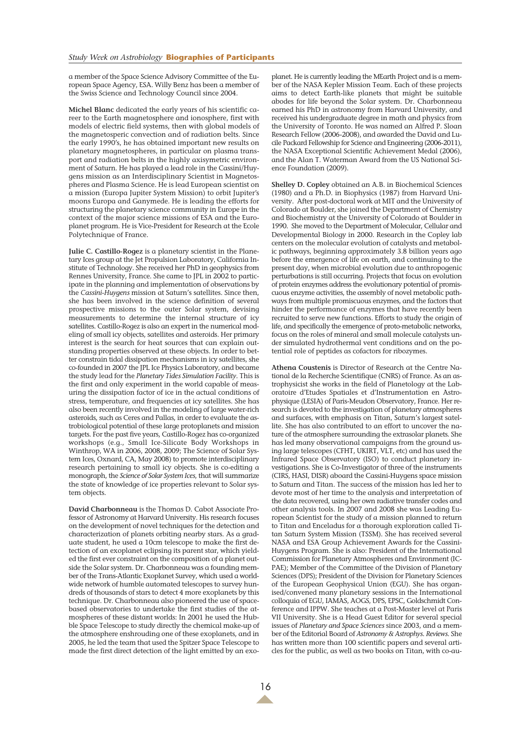a member of the Space Science Advisory Committee of the European Space Agency, ESA. Willy Benz has been a member of the Swiss Science and Technology Council since 2004.

**Michel Blanc** dedicated the early years of his scientific career to the Earth magnetosphere and ionosphere, first with models of electric field systems, then with global models of the magnetosperic convection and of radiation belts. Since the early 1990's, he has obtained important new results on planetary magnetospheres, in particular on plasma transport and radiation belts in the highly axisymetric environment of Saturn. He has played a lead role in the Cassini/Huygens mission as an Interdisciplinary Scientist in Magnetospheres and Plasma Science. He is lead European scientist on a mission (Europa Jupiter System Mission) to orbit Jupiter's moons Europa and Ganymede. He is leading the efforts for structuring the planetary science community in Europe in the context of the major science missions of ESA and the Europlanet program. He is Vice-President for Research at the Ecole Polytechnique of France.

**Julie C. Castillo-Rogez** is a planetary scientist in the Planetary Ices group at the Jet Propulsion Laboratory, California Institute of Technology. She received her PhD in geophysics from Rennes University, France. She came to JPL in 2002 to participate in the planning and implementation of observations by the *Cassini-Huygens* mission at Saturn's satellites. Since then, she has been involved in the science definition of several prospective missions to the outer Solar system, devising measurements to determine the internal structure of icy satellites. Castillo-Rogez is also an expert in the numerical modeling of small icy objects, satellites and asteroids. Her primary interest is the search for heat sources that can explain outstanding properties observed at these objects. In order to better constrain tidal dissipation mechanisms in icy satellites, she co-founded in 2007 the JPL Ice Physics Laboratory, and became the study lead for the *Planetary Tides Simulation Facility*. This is the first and only experiment in the world capable of measuring the dissipation factor of ice in the actual conditions of stress, temperature, and frequencies at icy satellites. She has also been recently involved in the modeling of large water-rich asteroids, such as Ceres and Pallas, in order to evaluate the astrobiological potential of these large protoplanets and mission targets. For the past five years, Castillo-Rogez has co-organized workshops (e.g., Small Ice-Silicate Body Workshops in Winthrop, WA in 2006, 2008, 2009; The Science of Solar System Ices, Oxnard, CA, May 2008) to promote interdisciplinary research pertaining to small icy objects. She is co-editing a monograph, the *Science of Solar System Ices*, that will summarize the state of knowledge of ice properties relevant to Solar system objects.

**David Charbonneau** is the Thomas D. Cabot Associate Professor of Astronomy at Harvard University. His research focuses on the development of novel techniques for the detection and characterization of planets orbiting nearby stars. As a graduate student, he used a 10cm telescope to make the first detection of an exoplanet eclipsing its parent star, which yielded the first ever constraint on the composition of a planet outside the Solar system. Dr. Charbonneau was a founding member of the Trans-Atlantic Exoplanet Survey, which used a worldwide network of humble automated telescopes to survey hundreds of thousands of stars to detect 4 more exoplanets by this technique. Dr. Charbonneau also pioneered the use of spacebased observatories to undertake the first studies of the atmospheres of these distant worlds: In 2001 he used the Hubble Space Telescope to study directly the chemical make-up of the atmosphere enshrouding one of these exoplanets, and in 2005, he led the team that used the Spitzer Space Telescope to made the first direct detection of the light emitted by an exo-

planet. He is currently leading the MEarth Project and is a member of the NASA Kepler Mission Team. Each of these projects aims to detect Earth-like planets that might be suitable abodes for life beyond the Solar system. Dr. Charbonneau earned his PhD in astronomy from Harvard University, and received his undergraduate degree in math and physics from the University of Toronto. He was named an Alfred P. Sloan Research Fellow (2006-2008), and awarded the David and Lucile Packard Fellowship for Science and Engineering (2006-2011), the NASA Exceptional Scientific Achievement Medal (2006), and the Alan T. Waterman Award from the US National Science Foundation (2009).

**Shelley D. Copley** obtained an A.B. in Biochemical Sciences (1980) and a Ph.D. in Biophysics (1987) from Harvard University. After post-doctoral work at MIT and the University of Colorado at Boulder, she joined the Department of Chemistry and Biochemistry at the University of Colorado at Boulder in 1990. She moved to the Department of Molecular, Cellular and Developmental Biology in 2000. Research in the Copley lab centers on the molecular evolution of catalysts and metabolic pathways, beginning approximately 3.8 billion years ago before the emergence of life on earth, and continuing to the present day, when microbial evolution due to anthropogenic perturbations is still occurring. Projects that focus on evolution of protein enzymes address the evolutionary potential of promiscuous enzyme activities, the assembly of novel metabolic pathways from multiple promiscuous enzymes, and the factors that hinder the performance of enzymes that have recently been recruited to serve new functions. Efforts to study the origin of life, and specifically the emergence of proto-metabolic networks, focus on the roles of mineral and small molecule catalysts under simulated hydrothermal vent conditions and on the potential role of peptides as cofactors for ribozymes.

**Athena Coustenis** is Director of Research at the Centre National de la Recherche Scientifique (CNRS) of France. As an astrophysicist she works in the field of Planetology at the Laboratoire d'Etudes Spatiales et d'Instrumentation en Astrophysique (LESIA) of Paris-Meudon Observatory, France. Her research is devoted to the investigation of planetary atmospheres and surfaces, with emphasis on Titan, Saturn's largest satellite. She has also contributed to an effort to uncover the nature of the atmosphere surrounding the extrasolar planets. She has led many observational campaigns from the ground using large telescopes (CFHT, UKIRT, VLT, etc) and has used the Infrared Space Observatory (ISO) to conduct planetary investigations. She is Co-Investigator of three of the instruments (CIRS, HASI, DISR) aboard the Cassini-Huygens space mission to Saturn and Titan. The success of the mission has led her to devote most of her time to the analysis and interpretation of the data recovered, using her own radiative transfer codes and other analysis tools. In 2007 and 2008 she was Leading European Scientist for the study of a mission planned to return to Titan and Enceladus for a thorough exploration called Titan Saturn System Mission (TSSM). She has received several NASA and ESA Group Achievement Awards for the Cassini-Huygens Program. She is also: President of the International Commission for Planetary Atmospheres and Environment (IC-PAE); Member of the Committee of the Division of Planetary Sciences (DPS); President of the Division for Planetary Sciences of the European Geophysical Union (EGU). She has organised/convened many planetary sessions in the International colloquia of EGU, IAMAS, AOGS, DPS, EPSC, Goldschmidt Conference and IPPW. She teaches at a Post-Master level at Paris VII University. She is a Head Guest Editor for several special issues of *Planetary and Space Sciences* since 2003, and a member of the Editorial Board of *Astronomy & Astrophys. Reviews*. She has written more than 100 scientific papers and several articles for the public, as well as two books on Titan, with co-au-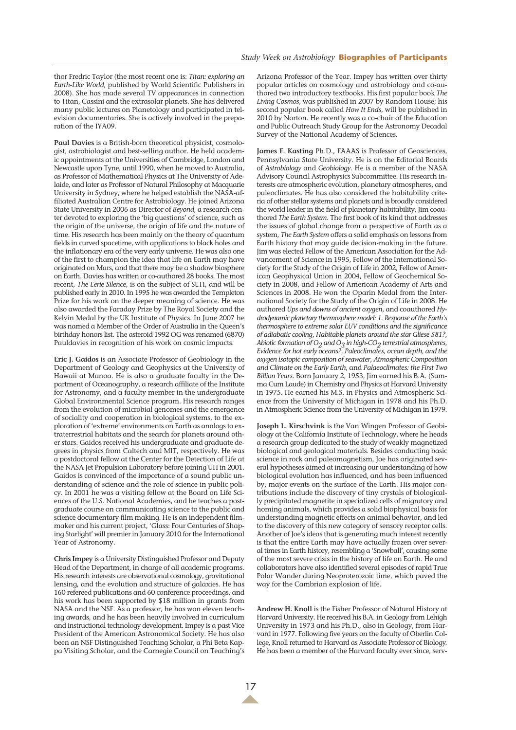thor Fredric Taylor (the most recent one is: *Titan: exploring an Earth-Like World*, published by World Scientific Publishers in 2008). She has made several TV appearances in connection to Titan, Cassini and the extrasolar planets. She has delivered many public lectures on Planetology and participated in television documentaries. She is actively involved in the preparation of the IYA09.

**Paul Davies** is a British-born theoretical physicist, cosmologist, astrobiologist and best-selling author. He held academic appointments at the Universities of Cambridge, London and Newcastle upon Tyne, until 1990, when he moved to Australia, as Professor of Mathematical Physics at The University of Adelaide, and later as Professor of Natural Philosophy at Macquarie University in Sydney, where he helped establish the NASA-affiliated Australian Centre for Astrobiology. He joined Arizona State University in 2006 as Director of *Beyond*, a research center devoted to exploring the 'big questions' of science, such as the origin of the universe, the origin of life and the nature of time. His research has been mainly on the theory of quantum fields in curved spacetime, with applications to black holes and the inflationary era of the very early universe. He was also one of the first to champion the idea that life on Earth may have originated on Mars, and that there may be a shadow biosphere on Earth. Davies has written or co-authored 28 books. The most recent, *The Eerie Silence*, is on the subject of SETI, and will be published early in 2010. In 1995 he was awarded the Templeton Prize for his work on the deeper meaning of science. He was also awarded the Faraday Prize by The Royal Society and the Kelvin Medal by the UK Institute of Physics. In June 2007 he was named a Member of the Order of Australia in the Queen's birthday honors list. The asteroid 1992 OG was renamed (6870) Pauldavies in recognition of his work on cosmic impacts.

**Eric J. Gaidos** is an Associate Professor of Geobiology in the Department of Geology and Geophysics at the University of Hawaii at Manoa. He is also a graduate faculty in the Department of Oceanography, a research affiliate of the Institute for Astronomy, and a faculty member in the undergraduate Global Environmental Science program. His research ranges from the evolution of microbial genomes and the emergence of sociality and cooperation in biological systems, to the exploration of 'extreme' environments on Earth as analogs to extraterrestrial habitats and the search for planets around other stars. Gaidos received his undergraduate and graduate degrees in physics from Caltech and MIT, respectively. He was a postdoctoral fellow at the Center for the Detection of Life at the NASA Jet Propulsion Laboratory before joining UH in 2001. Gaidos is convinced of the importance of a sound public understanding of science and the role of science in public policy. In 2001 he was a visiting fellow at the Board on Life Sciences of the U.S. National Academies, and he teaches a postgraduate course on communicating science to the public and science documentary film making. He is an independent filmmaker and his current project, 'Glass: Four Centuries of Shaping Starlight' will premier in January 2010 for the International Year of Astronomy.

**Chris Impey** is a University Distinguished Professor and Deputy Head of the Department, in charge of all academic programs. His research interests are observational cosmology, gravitational lensing, and the evolution and structure of galaxies. He has 160 refereed publications and 60 conference proceedings, and his work has been supported by \$18 million in grants from NASA and the NSF. As a professor, he has won eleven teaching awards, and he has been heavily involved in curriculum and instructional technology development. Impey is a past Vice President of the American Astronomical Society. He has also been an NSF Distinguished Teaching Scholar, a Phi Beta Kappa Visiting Scholar, and the Carnegie Council on Teaching's Arizona Professor of the Year. Impey has written over thirty popular articles on cosmology and astrobiology and co-authored two introductory textbooks. His first popular book *The Living Cosmos*, was published in 2007 by Random House; his second popular book called *How It Ends*, will be published in 2010 by Norton. He recently was a co-chair of the Education and Public Outreach Study Group for the Astronomy Decadal Survey of the National Academy of Sciences.

**James F. Kasting** Ph.D., FAAAS is Professor of Geosciences, Pennsylvania State University. He is on the Editorial Boards of *Astrobiology* and *Geobiology*. He is a member of the NASA Advisory Council Astrophysics Subcommittee. His research interests are atmospheric evolution, planetary atmospheres, and paleoclimates. He has also considered the habitability criteria of other stellar systems and planets and is broadly considered the world leader in the field of planetary habitability. Jim coauthored *The Earth System*. The first book of its kind that addresses the issues of global change from a perspective of Earth as a system, *The Earth System* offers a solid emphasis on lessons from Earth history that may guide decision-making in the future. Jim was elected Fellow of the American Association for the Advancement of Science in 1995, Fellow of the International Society for the Study of the Origin of Life in 2002, Fellow of American Geophysical Union in 2004, Fellow of Geochemical Society in 2008, and Fellow of American Academy of Arts and Sciences in 2008. He won the Oparin Medal from the International Society for the Study of the Origin of Life in 2008. He authored *Ups and downs of ancient oxygen*, and coauthored *Hydrodynamic planetary thermosphere model: 1. Response of the Earth's thermosphere to extreme solar EUV conditions and the significance of adiabatic cooling*, *Habitable planets around the star Gliese 581?*, *Abiotic formation of O2 and O3 in high-CO2 terrestrial atmospheres*, *Evidence for hot early oceans?*, *Paleoclimates, ocean depth, and the oxygen isotopic composition of seawater*, *Atmospheric Composition and Climate on the Early Earth*, and *Palaeoclimates: the First Two Billion Years*. Born January 2, 1953, Jim earned his B.A. (Summa Cum Laude) in Chemistry and Physics at Harvard University in 1975. He earned his M.S. in Physics and Atmospheric Science from the University of Michigan in 1978 and his Ph.D. in Atmospheric Science from the University of Michigan in 1979.

**Joseph L. Kirschvink** is the Van Wingen Professor of Geobiology at the California Institute of Technology, where he heads a research group dedicated to the study of weakly magnetized biological and geological materials. Besides conducting basic science in rock and paleomagnetism, Joe has originated several hypotheses aimed at increasing our understanding of how biological evolution has influenced, and has been influenced by, major events on the surface of the Earth. His major contributions include the discovery of tiny crystals of biologically precipitated magnetite in specialized cells of migratory and homing animals, which provides a solid biophysical basis for understanding magnetic effects on animal behavior, and led to the discovery of this new category of sensory receptor cells. Another of Joe's ideas that is generating much interest recently is that the entire Earth may have actually frozen over several times in Earth history, resembling a 'Snowball', causing some of the most severe crisis in the history of life on Earth. He and collaborators have also identified several episodes of rapid True Polar Wander during Neoproterozoic time, which paved the way for the Cambrian explosion of life.

**Andrew H. Knoll** is the Fisher Professor of Natural History at Harvard University. He received his B.A. in Geology from Lehigh University in 1973 and his Ph.D., also in Geology, from Harvard in 1977. Following five years on the faculty of Oberlin College, Knoll returned to Harvard as Associate Professor of Biology. He has been a member of the Harvard faculty ever since, serv-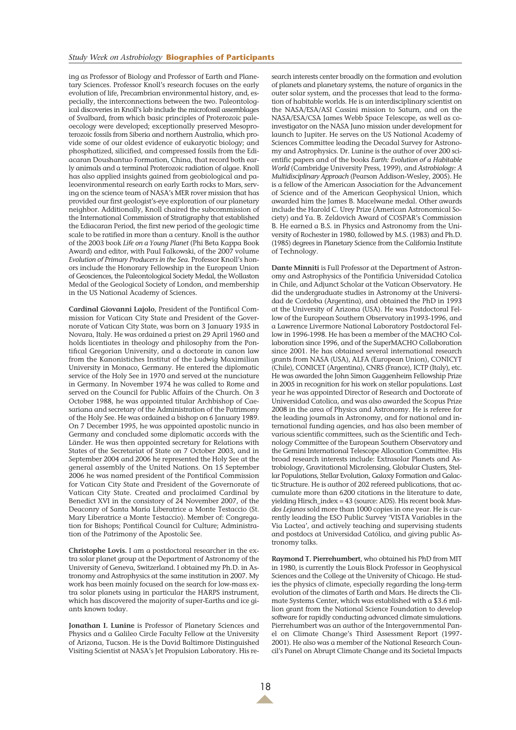#### *Study Week on Astrobiology* **Biographies of Participants**

ing as Professor of Biology and Professor of Earth and Planetary Sciences. Professor Knoll's research focuses on the early evolution of life, Precambrian environmental history, and, especially, the interconnections between the two. Paleontological discoveries in Knoll's lab include the microfossil assemblages of Svalbard, from which basic principles of Proterozoic paleoecology were developed; exceptionally preserved Mesoproterozoic fossils from Siberia and northern Australia, which provide some of our oldest evidence of eukaryotic biology; and phosphatized, silicified, and compressed fossils from the Ediacaran Doushantuo Formation, China, that record both early animals and a terminal Proterozoic radiation of algae. Knoll has also applied insights gained from geobiological and paleoenvironmental research on early Earth rocks to Mars, serving on the science team of NASA's MER rover mission that has provided our first geologist's-eye exploration of our planetary neighbor. Additionally, Knoll chaired the subcommission of the International Commission of Stratigraphy that established the Ediacaran Period, the first new period of the geologic time scale to be ratified in more than a century. Knoll is the author of the 2003 book *Life on a Young Planet* (Phi Beta Kappa Book Award) and editor, with Paul Falkowski, of the 2007 volume *Evolution of Primary Producers in the Sea*. Professor Knoll's honors include the Honorary Fellowship in the European Union of Geosciences, the Paleontological Society Medal, the Wollaston Medal of the Geological Society of London, and membership in the US National Academy of Sciences.

**Cardinal Giovanni Lajolo**, President of the Pontifical Commission for Vatican City State and President of the Governorate of Vatican City State, was born on 3 January 1935 in Novara, Italy. He was ordained a priest on 29 April 1960 and holds licentiates in theology and philosophy from the Pontifical Gregorian University, and a doctorate in canon law from the Kanonistiches Institut of the Ludwig Maximilian University in Monaco, Germany. He entered the diplomatic service of the Holy See in 1970 and served at the nunciature in Germany. In November 1974 he was called to Rome and served on the Council for Public Affairs of the Church. On 3 October 1988, he was appointed titular Archbishop of Caesariana and secretary of the Administration of the Patrimony of the Holy See. He was ordained a bishop on 6 January 1989. On 7 December 1995, he was appointed apostolic nuncio in Germany and concluded some diplomatic accords with the Länder. He was then appointed secretary for Relations with States of the Secretariat of State on 7 October 2003, and in September 2004 and 2006 he represented the Holy See at the general assembly of the United Nations. On 15 September 2006 he was named president of the Pontifical Commission for Vatican City State and President of the Governorate of Vatican City State. Created and proclaimed Cardinal by Benedict XVI in the consistory of 24 November 2007, of the Deaconry of Santa Maria Liberatrice a Monte Testaccio (St. Mary Liberatrice a Monte Testaccio). Member of: Congregation for Bishops; Pontifical Council for Culture; Administration of the Patrimony of the Apostolic See.

**Christophe Lovis.** I am a postdoctoral researcher in the extra solar planet group at the Department of Astronomy of the University of Geneva, Switzerland. I obtained my Ph.D. in Astronomy and Astrophysics at the same institution in 2007. My work has been mainly focused on the search for low-mass extra solar planets using in particular the HARPS instrument, which has discovered the majority of super-Earths and ice giants known today.

**Jonathan I. Lunine** is Professor of Planetary Sciences and Physics and a Galileo Circle Faculty Fellow at the University of Arizona, Tucson. He is the David Baltimore Distinguished Visiting Scientist at NASA's Jet Propulsion Laboratory. His re-

search interests center broadly on the formation and evolution of planets and planetary systems, the nature of organics in the outer solar system, and the processes that lead to the formation of habitable worlds. He is an interdisciplinary scientist on the NASA/ESA/ASI Cassini mission to Saturn, and on the NASA/ESA/CSA James Webb Space Telescope, as well as coinvestigator on the NASA Juno mission under development for launch to Jupiter. He serves on the US National Academy of Sciences Committee leading the Decadal Survey for Astronomy and Astrophysics. Dr. Lunine is the author of over 200 scientific papers and of the books *Earth: Evolution of a Habitable World* (Cambridge University Press, 1999), and *Astrobiology: A Multidisciplinary Approach* (Pearson Addison-Wesley, 2005). He is a fellow of the American Association for the Advancement of Science and of the American Geophysical Union, which awarded him the James B. Macelwane medal. Other awards include the Harold C. Urey Prize (American Astronomical Society) and Ya. B. Zeldovich Award of COSPAR's Commission B. He earned a B.S. in Physics and Astronomy from the University of Rochester in 1980, followed by M.S. (1983) and Ph.D. (1985) degrees in Planetary Science from the California Institute of Technology.

**Dante Minniti** is Full Professor at the Department of Astronomy and Astrophysics of the Pontificia Universidad Catolica in Chile, and Adjunct Scholar at the Vatican Observatory. He did the undergraduate studies in Astronomy at the Universidad de Cordoba (Argentina), and obtained the PhD in 1993 at the University of Arizona (USA). He was Postdoctoral Fellow of the European Southern Observatory in1993-1996, and a Lawrence Livermore National Laboratory Postdoctoral Fellow in 1996-1998. He has been a member of the MACHO Collaboration since 1996, and of the SuperMACHO Collaboration since 2001. He has obtained several international research grants from NASA (USA), ALFA (European Union), CONICYT (Chile), CONICET (Argentina), CNRS (France), ICTP (Italy), etc. He was awarded the John Simon Guggenheim Fellowship Prize in 2005 in recognition for his work on stellar populations. Last year he was appointed Director of Research and Doctorate of Universidad Catolica, and was also awarded the Scopus Prize 2008 in the area of Physics and Astronomy. He is referee for the leading journals in Astronomy, and for national and international funding agencies, and has also been member of various scientific committees, such as the Scientific and Technology Committee of the European Southern Observatory and the Gemini International Telescope Allocation Committee. His broad research interests include: Extrasolar Planets and Astrobiology, Gravitational Microlensing, Globular Clusters, Stellar Populations, Stellar Evolution, Galaxy Formation and Galactic Structure. He is author of 202 refereed publications, that accumulate more than 6200 citations in the literature to date, yielding Hirsch\_index = 43 (source: ADS). His recent book *Mundos Lejanos* sold more than 1000 copies in one year. He is currently leading the ESO Public Survey 'VISTA Variables in the Via Lactea', and actively teaching and supervising students and postdocs at Universidad Católica, and giving public Astronomy talks.

**Raymond T. Pierrehumbert**, who obtained his PhD from MIT in 1980, is currently the Louis Block Professor in Geophysical Sciences and the College at the University of Chicago. He studies the physics of climate, especially regarding the long-term evolution of the climates of Earth and Mars. He directs the Climate Systems Center, which was established with a \$3.6 million grant from the National Science Foundation to develop software for rapidly conducting advanced climate simulations. Pierrehumbert was an author of the Intergovernmental Panel on Climate Change's Third Assessment Report (1997- 2001). He also was a member of the National Research Council's Panel on Abrupt Climate Change and its Societal Impacts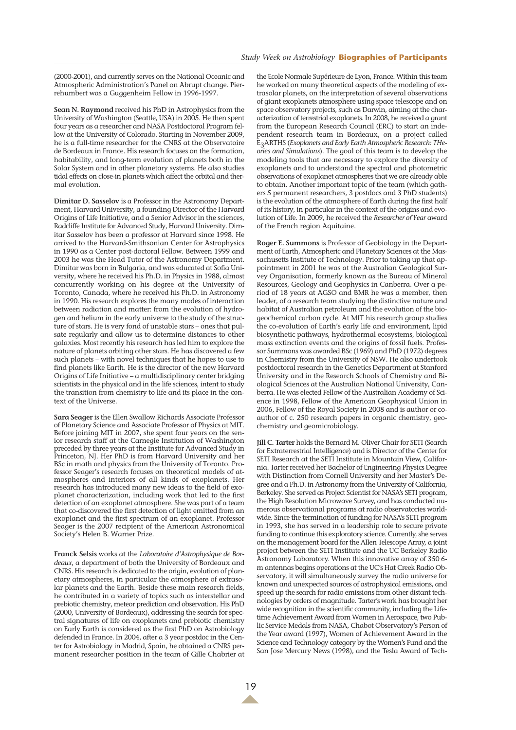(2000-2001), and currently serves on the National Oceanic and Atmospheric Administration's Panel on Abrupt change. Pierrehumbert was a Guggenheim Fellow in 1996-1997.

**Sean N. Raymond** received his PhD in Astrophysics from the University of Washington (Seattle, USA) in 2005. He then spent four years as a researcher and NASA Postdoctoral Program fellow at the University of Colorado. Starting in November 2009, he is a full-time researcher for the CNRS at the Observatoire de Bordeaux in France. His research focuses on the formation, habitability, and long-term evolution of planets both in the Solar System and in other planetary systems. He also studies tidal effects on close-in planets which affect the orbital and thermal evolution.

**Dimitar D. Sasselov** is a Professor in the Astronomy Department, Harvard University, a founding Director of the Harvard Origins of Life Initiative, and a Senior Advisor in the sciences, Radcliffe Institute for Advanced Study, Harvard University. Dimitar Sasselov has been a professor at Harvard since 1998. He arrived to the Harvard-Smithsonian Center for Astrophysics in 1990 as a Center post-doctoral Fellow. Between 1999 and 2003 he was the Head Tutor of the Astronomy Department. Dimitar was born in Bulgaria, and was educated at Sofia University, where he received his Ph.D. in Physics in 1988, almost concurrently working on his degree at the University of Toronto, Canada, where he received his Ph.D. in Astronomy in 1990. His research explores the many modes of interaction between radiation and matter: from the evolution of hydrogen and helium in the early universe to the study of the structure of stars. He is very fond of unstable stars – ones that pulsate regularly and allow us to determine distances to other galaxies. Most recently his research has led him to explore the nature of planets orbiting other stars. He has discovered a few such planets – with novel techniques that he hopes to use to find planets like Earth. He is the director of the new Harvard Origins of Life Initiative – a multidisciplinary center bridging scientists in the physical and in the life sciences, intent to study the transition from chemistry to life and its place in the context of the Universe.

**Sara Seager** is the Ellen Swallow Richards Associate Professor of Planetary Science and Associate Professor of Physics at MIT. Before joining MIT in 2007, she spent four years on the senior research staff at the Carnegie Institution of Washington preceded by three years at the Institute for Advanced Study in Princeton, NJ. Her PhD is from Harvard University and her BSc in math and physics from the University of Toronto. Professor Seager's research focuses on theoretical models of atmospheres and interiors of all kinds of exoplanets. Her research has introduced many new ideas to the field of exoplanet characterization, including work that led to the first detection of an exoplanet atmosphere. She was part of a team that co-discovered the first detection of light emitted from an exoplanet and the first spectrum of an exoplanet. Professor Seager is the 2007 recipient of the American Astronomical Society's Helen B. Warner Prize.

**Franck Selsis** works at the *Laboratoire d'Astrophysique de Bordeaux*, a department of both the University of Bordeaux and CNRS. His research is dedicated to the origin, evolution of planetary atmospheres, in particular the atmosphere of extrasolar planets and the Earth. Beside these main research fields, he contributed in a variety of topics such as interstellar and prebiotic chemistry, meteor prediction and observation. His PhD (2000, University of Bordeaux), addressing the search for spectral signatures of life on exoplanets and prebiotic chemistry on Early Earth is considered as the first PhD on Astrobiology defended in France. In 2004, after a 3 year postdoc in the Center for Astrobiology in Madrid, Spain, he obtained a CNRS permanent researcher position in the team of Gille Chabrier at

the Ecole Normale Supérieure de Lyon, France. Within this team he worked on many theoretical aspects of the modeling of extrasolar planets, on the interpretation of several observations of giant exoplanets atmosphere using space telescope and on space observatory projects, such as Darwin, aiming at the characterization of terrestrial exoplanets. In 2008, he received a grant from the European Research Council (ERC) to start an independent research team in Bordeaux, on a project called E3ARTHS (*Exoplanets and Early Earth Atmospheric Research: THeories and Simulations*). The goal of this team is to develop the modeling tools that are necessary to explore the diversity of exoplanets and to understand the spectral and photometric observations of exoplanet atmospheres that we are already able to obtain. Another important topic of the team (which gathers 5 permanent researchers, 3 postdocs and 3 PhD students) is the evolution of the atmosphere of Earth during the first half of its history, in particular in the context of the origins and evolution of Life. In 2009, he received the *Researcher of Year* award of the French region Aquitaine.

**Roger E. Summons** is Professor of Geobiology in the Department of Earth, Atmospheric and Planetary Sciences at the Massachusetts Institute of Technology. Prior to taking up that appointment in 2001 he was at the Australian Geological Survey Organisation, formerly known as the Bureau of Mineral Resources, Geology and Geophysics in Canberra. Over a period of 18 years at AGSO and BMR he was a member, then leader, of a research team studying the distinctive nature and habitat of Australian petroleum and the evolution of the biogeochemical carbon cycle. At MIT his research group studies the co-evolution of Earth's early life and environment, lipid biosynthetic pathways, hydrothermal ecosystems, biological mass extinction events and the origins of fossil fuels. Professor Summons was awarded BSc (1969) and PhD (1972) degrees in Chemistry from the University of NSW. He also undertook postdoctoral research in the Genetics Department at Stanford University and in the Research Schools of Chemistry and Biological Sciences at the Australian National University, Canberra. He was elected Fellow of the Australian Academy of Science in 1998, Fellow of the American Geophysical Union in 2006, Fellow of the Royal Society in 2008 and is author or coauthor of c. 250 research papers in organic chemistry, geochemistry and geomicrobiology.

**Jill C. Tarter** holds the Bernard M. Oliver Chair for SETI (Search for Extraterrestrial Intelligence) and is Director of the Center for SETI Research at the SETI Institute in Mountain View, California. Tarter received her Bachelor of Engineering Physics Degree with Distinction from Cornell University and her Master's Degree and a Ph.D. in Astronomy from the University of California, Berkeley. She served as Project Scientist for NASA's SETI program, the High Resolution Microwave Survey, and has conducted numerous observational programs at radio observatories worldwide. Since the termination of funding for NASA's SETI program in 1993, she has served in a leadership role to secure private funding to continue this exploratory science. Currently, she serves on the management board for the Allen Telescope Array, a joint project between the SETI Institute and the UC Berkeley Radio Astronomy Laboratory. When this innovative array of 350 6 m antennas begins operations at the UC's Hat Creek Radio Observatory, it will simultaneously survey the radio universe for known and unexpected sources of astrophysical emissions, and speed up the search for radio emissions from other distant technologies by orders of magnitude. Tarter's work has brought her wide recognition in the scientific community, including the Lifetime Achievement Award from Women in Aerospace, two Public Service Medals from NASA, Chabot Observatory's Person of the Year award (1997), Women of Achievement Award in the Science and Technology category by the Women's Fund and the San Jose Mercury News (1998), and the Tesla Award of Tech-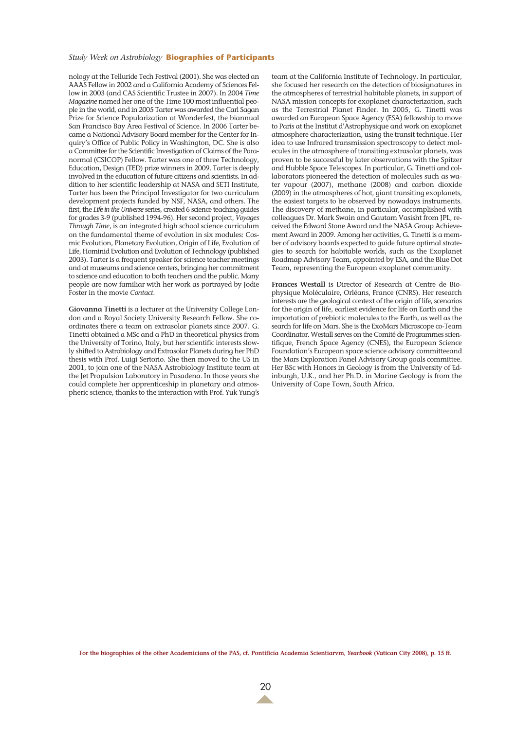#### *Study Week on Astrobiology* **Biographies of Participants**

nology at the Telluride Tech Festival (2001). She was elected an AAAS Fellow in 2002 and a California Academy of Sciences Fellow in 2003 (and CAS Scientific Trustee in 2007). In 2004 *Time Magazine* named her one of the Time 100 most influential people in the world, and in 2005 Tarter was awarded the Carl Sagan Prize for Science Popularization at Wonderfest, the biannual San Francisco Bay Area Festival of Science. In 2006 Tarter became a National Advisory Board member for the Center for Inquiry's Office of Public Policy in Washington, DC. She is also a Committee for the Scientific Investigation of Claims of the Paranormal (CSICOP) Fellow. Tarter was one of three Technology, Education, Design (TED) prize winners in 2009. Tarter is deeply involved in the education of future citizens and scientists. In addition to her scientific leadership at NASA and SETI Institute, Tarter has been the Principal Investigator for two curriculum development projects funded by NSF, NASA, and others. The first, the *Life in the Universe* series, created 6 science teaching guides for grades 3-9 (published 1994-96). Her second project, *Voyages Through Time*, is an integrated high school science curriculum on the fundamental theme of evolution in six modules: Cosmic Evolution, Planetary Evolution, Origin of Life, Evolution of Life, Hominid Evolution and Evolution of Technology (published 2003). Tarter is a frequent speaker for science teacher meetings and at museums and science centers, bringing her commitment to science and education to both teachers and the public. Many people are now familiar with her work as portrayed by Jodie Foster in the movie *Contact*.

**Giovanna Tinetti** is a lecturer at the University College London and a Royal Society University Research Fellow. She coordinates there a team on extrasolar planets since 2007. G. Tinetti obtained a MSc and a PhD in theoretical physics from the University of Torino, Italy, but her scientific interests slowly shifted to Astrobiology and Extrasolar Planets during her PhD thesis with Prof. Luigi Sertorio. She then moved to the US in 2001, to join one of the NASA Astrobiology Institute team at the Jet Propulsion Laboratory in Pasadena. In those years she could complete her apprenticeship in planetary and atmospheric science, thanks to the interaction with Prof. Yuk Yung's

team at the California Institute of Technology. In particular, she focused her research on the detection of biosignatures in the atmospheres of terrestrial habitable planets, in support of NASA mission concepts for exoplanet characterization, such as the Terrestrial Planet Finder. In 2005, G. Tinetti was awarded an European Space Agency (ESA) fellowship to move to Paris at the Institut d'Astrophysique and work on exoplanet atmosphere characterization, using the transit technique. Her idea to use Infrared transmission spectroscopy to detect molecules in the atmosphere of transiting extrasolar planets, was proven to be successful by later observations with the Spitzer and Hubble Space Telescopes. In particular, G. Tinetti and collaborators pioneered the detection of molecules such as water vapour (2007), methane (2008) and carbon dioxide (2009) in the atmospheres of hot, giant transiting exoplanets, the easiest targets to be observed by nowadays instruments. The discovery of methane, in particular, accomplished with colleagues Dr. Mark Swain and Gautam Vasisht from JPL, received the Edward Stone Award and the NASA Group Achievement Award in 2009. Among her activities, G. Tinetti is a member of advisory boards expected to guide future optimal strategies to search for habitable worlds, such as the Exoplanet Roadmap Advisory Team, appointed by ESA, and the Blue Dot Team, representing the European exoplanet community.

**Frances Westall** is Director of Research at Centre de Biophysique Moléculaire, Orléans, France (CNRS). Her research interests are the geological context of the origin of life, scenarios for the origin of life, earliest evidence for life on Earth and the importation of prebiotic molecules to the Earth, as well as the search for life on Mars. She is the ExoMars Microscope co-Team Coordinator. Westall serves on the Comité de Programmes scientifique, French Space Agency (CNES), the European Science Foundation's European space science advisory committeeand the Mars Exploration Panel Advisory Group goals committee. Her BSc with Honors in Geology is from the University of Edinburgh, U.K., and her Ph.D. in Marine Geology is from the University of Cape Town, South Africa.

**For the biographies of the other Academicians of the PAS, cf. Pontificia Academia Scientiarvm,** *Yearbook* **(Vatican City 2008), p. 15 ff.**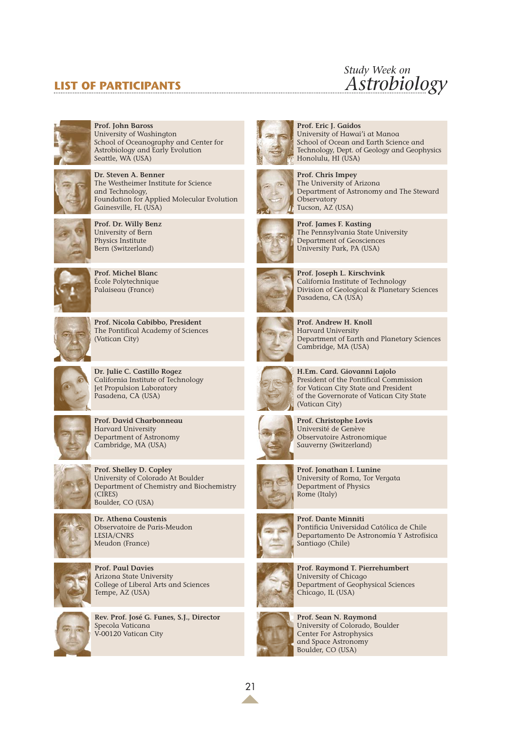# **LIST OF PARTICIPANTS**

# *Study Week on Astrobiology*



**Prof. John Baross** University of Washington School of Oceanography and Center for Astrobiology and Early Evolution Seattle, WA (USA)



**Dr. Steven A. Benner** The Westheimer Institute for Science and Technology, Foundation for Applied Molecular Evolution Gainesville, FL (USA)



**Prof. Dr. Willy Benz** University of Bern Physics Institute Bern (Switzerland)



**Prof. Michel Blanc** École Polytechnique Palaiseau (France)



**Prof. Nicola Cabibbo, President** The Pontifical Academy of Sciences (Vatican City)



**Dr. Julie C. Castillo Rogez** California Institute of Technology Jet Propulsion Laboratory Pasadena, CA (USA)



**Prof. David Charbonneau** Harvard University Department of Astronomy Cambridge, MA (USA)



**Prof. Shelley D. Copley** University of Colorado At Boulder Department of Chemistry and Biochemistry (CIRES) Boulder, CO (USA)



**Dr. Athena Coustenis** Observatoire de Paris-Meudon LESIA/CNRS Meudon (France)



**Prof. Paul Davies** Arizona State University College of Liberal Arts and Sciences Tempe, AZ (USA)



**Rev. Prof. José G. Funes, S.J., Director** Specola Vaticana V-00120 Vatican City





Honolulu, HI (USA) **Prof. Chris Impey** The University of Arizona Department of Astronomy and The Steward **Observatory** 



**Prof. James F. Kasting** The Pennsylvania State University Department of Geosciences University Park, PA (USA)

**Prof. Eric J. Gaidos**

Tucson, AZ (USA)

University of Hawai'i at Manoa School of Ocean and Earth Science and Technology, Dept. of Geology and Geophysics



**Prof. Joseph L. Kirschvink** California Institute of Technology Division of Geological & Planetary Sciences Pasadena, CA (USA)



**Prof. Andrew H. Knoll** Harvard University Department of Earth and Planetary Sciences Cambridge, MA (USA)



**H.Em. Card. Giovanni Lajolo** President of the Pontifical Commission for Vatican City State and President of the Governorate of Vatican City State (Vatican City)



**Prof. Christophe Lovis** Université de Genève Observatoire Astronomique Sauverny (Switzerland)



**Prof. Jonathan I. Lunine** University of Roma, Tor Vergata Department of Physics Rome (Italy)

**Prof. Dante Minniti**



Departamento De Astronomía Y Astrofísica Santiago (Chile)

Pontificia Universidad Católica de Chile



**Prof. Raymond T. Pierrehumbert** University of Chicago Department of Geophysical Sciences Chicago, IL (USA)



**Prof. Sean N. Raymond** University of Colorado, Boulder Center For Astrophysics and Space Astronomy Boulder, CO (USA)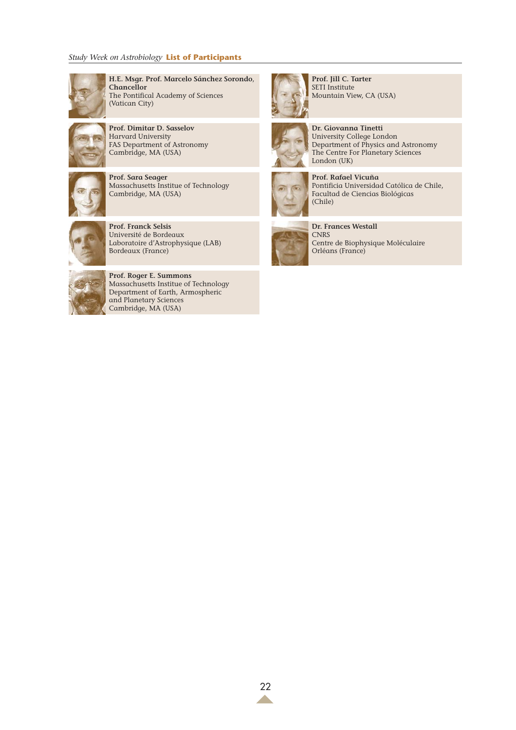# *Study Week on Astrobiology* **List of Participants**



**H.E. Msgr. Prof. Marcelo Sánchez Sorondo**, **Chancellor** The Pontifical Academy of Sciences (Vatican City)



**Prof. Dimitar D. Sasselov** Harvard University FAS Department of Astronomy Cambridge, MA (USA)



**Prof. Sara Seager** Massachusetts Institue of Technology Cambridge, MA (USA)



**Prof. Franck Selsis** Université de Bordeaux Laboratoire d'Astrophysique (LAB) Bordeaux (France)



**Prof. Roger E. Summons** Massachusetts Institue of Technology Department of Earth, Armospheric and Planetary Sciences Cambridge, MA (USA)



**Prof. Jill C. Tarter** SETI Institute Mountain View, CA (USA)

**Dr. Giovanna Tinetti** University College London



The Centre For Planetary Sciences London (UK) **Prof. Rafael Vicuña** Pontificia Universidad Católica de Chile,

Department of Physics and Astronomy



Facultad de Ciencias Biológicas (Chile) **Dr. Frances Westall**

**CNRS** Centre de Biophysique Moléculaire Orléans (France)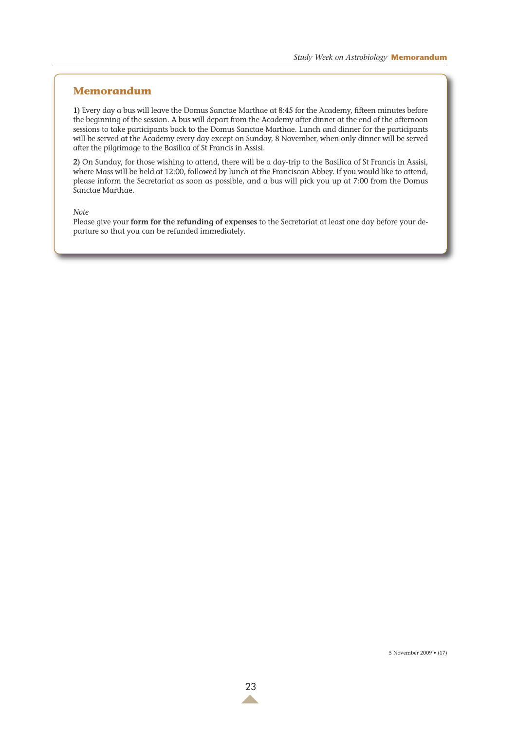# **Memorandum**

**1)** Every day a bus will leave the Domus Sanctae Marthae at 8:45 for the Academy, fifteen minutes before the beginning of the session. A bus will depart from the Academy after dinner at the end of the afternoon sessions to take participants back to the Domus Sanctae Marthae. Lunch and dinner for the participants will be served at the Academy every day except on Sunday, 8 November, when only dinner will be served after the pilgrimage to the Basilica of St Francis in Assisi.

**2)** On Sunday, for those wishing to attend, there will be a day-trip to the Basilica of St Francis in Assisi, where Mass will be held at 12:00, followed by lunch at the Franciscan Abbey. If you would like to attend, please inform the Secretariat as soon as possible, and a bus will pick you up at 7:00 from the Domus Sanctae Marthae.

*Note*

Please give your **form for the refunding of expenses** to the Secretariat at least one day before your departure so that you can be refunded immediately.

5 November 2009 • (17)